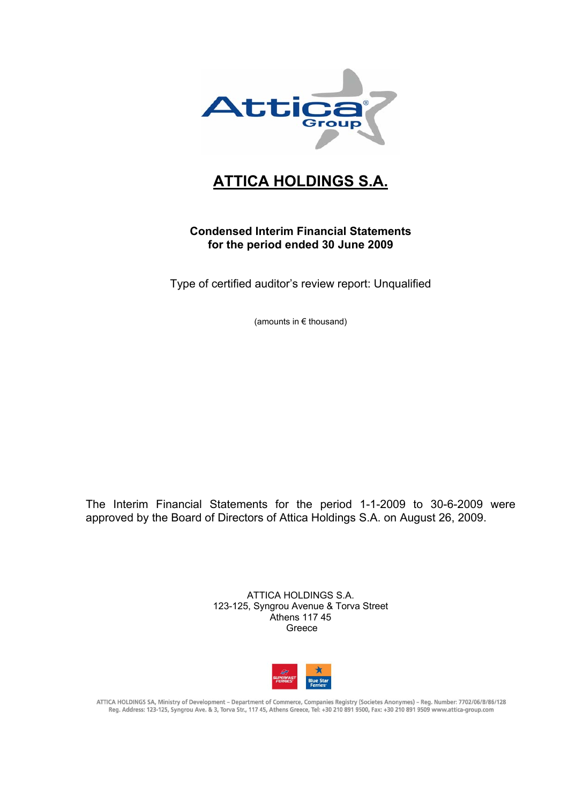

## **ATTICA HOLDINGS S.A.**

## **Condensed Interim Financial Statements for the period ended 30 June 2009**

Type of certified auditor's review report: Unqualified

(amounts in € thousand)

The Interim Financial Statements for the period 1-1-2009 to 30-6-2009 were approved by the Board of Directors of Attica Holdings S.A. on August 26, 2009.

> ATTICA HOLDINGS S.A. 123-125, Syngrou Avenue & Torva Street Athens 117 45 Greece



ATTICA HOLDINGS SA, Ministry of Development - Department of Commerce, Companies Registry (Societes Anonymes) - Reg. Number: 7702/06/B/86/128 Reg. Address: 123-125, Syngrou Ave. & 3, Torva Str., 117 45, Athens Greece, Tel: +30 210 891 9500, Fax: +30 210 891 9500 www.attica-group.com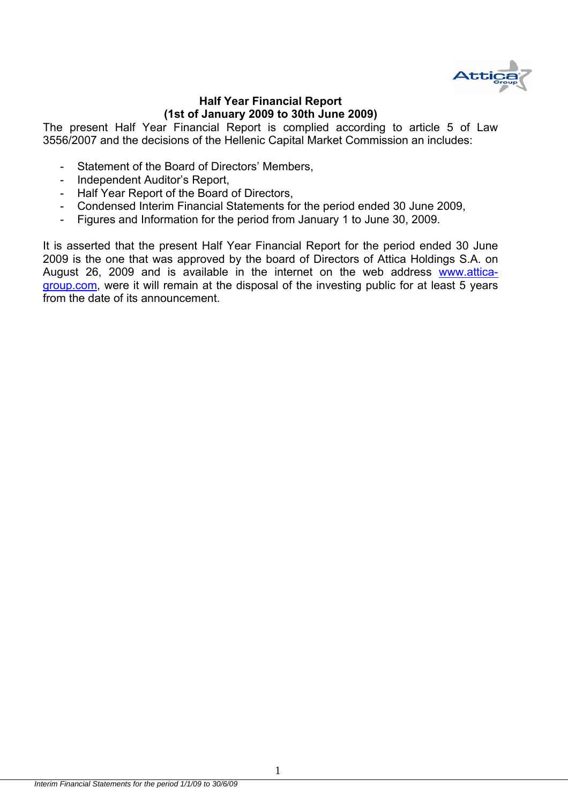

#### **Half Year Financial Report (1st of January 2009 to 30th June 2009)**

The present Half Year Financial Report is complied according to article 5 of Law 3556/2007 and the decisions of the Hellenic Capital Market Commission an includes:

- Statement of the Board of Directors' Members,
- Independent Auditor's Report,
- Half Year Report of the Board of Directors,
- Condensed Interim Financial Statements for the period ended 30 June 2009,
- Figures and Information for the period from January 1 to June 30, 2009.

It is asserted that the present Half Year Financial Report for the period ended 30 June 2009 is the one that was approved by the board of Directors of Attica Holdings S.A. on August 26, 2009 and is available in the internet on the web address www.atticagroup.com, were it will remain at the disposal of the investing public for at least 5 years from the date of its announcement.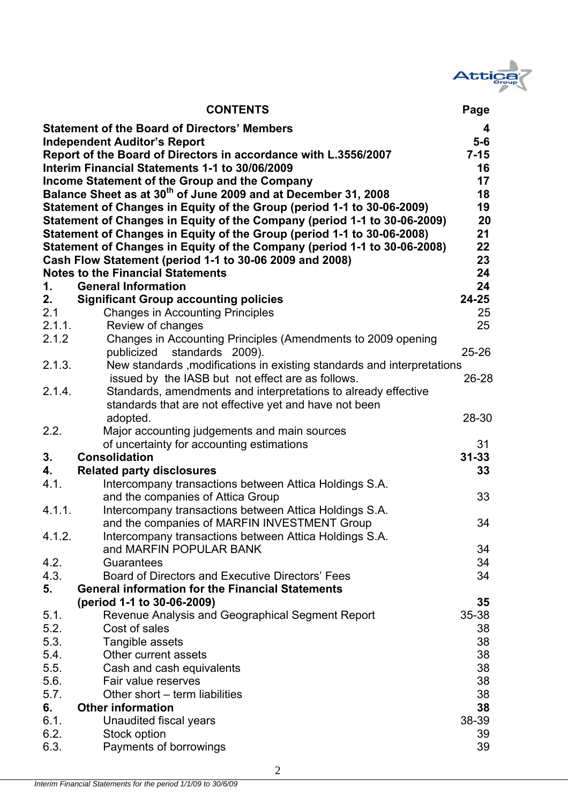

|              | <b>CONTENTS</b>                                                                | Page            |
|--------------|--------------------------------------------------------------------------------|-----------------|
|              | <b>Statement of the Board of Directors' Members</b>                            | 4               |
|              | <b>Independent Auditor's Report</b>                                            | $5-6$           |
|              | Report of the Board of Directors in accordance with L.3556/2007                | $7 - 15$        |
|              | Interim Financial Statements 1-1 to 30/06/2009                                 | 16              |
|              | Income Statement of the Group and the Company                                  | 17              |
|              | Balance Sheet as at 30 <sup>th</sup> of June 2009 and at December 31, 2008     | 18              |
|              | Statement of Changes in Equity of the Group (period 1-1 to 30-06-2009)         | 19              |
|              | Statement of Changes in Equity of the Company (period 1-1 to 30-06-2009)       | 20              |
|              | Statement of Changes in Equity of the Group (period 1-1 to 30-06-2008)         | 21              |
|              | Statement of Changes in Equity of the Company (period 1-1 to 30-06-2008)       | 22              |
|              | Cash Flow Statement (period 1-1 to 30-06 2009 and 2008)                        | 23              |
|              | <b>Notes to the Financial Statements</b>                                       | 24              |
| 1.           | <b>General Information</b>                                                     | 24              |
| 2.           | <b>Significant Group accounting policies</b>                                   | $24 - 25$       |
| 2.1          | <b>Changes in Accounting Principles</b>                                        | 25              |
| 2.1.1.       | Review of changes                                                              | 25              |
| 2.1.2        | Changes in Accounting Principles (Amendments to 2009 opening                   |                 |
|              | standards 2009).<br>publicized                                                 | $25 - 26$       |
| 2.1.3.       | New standards , modifications in existing standards and interpretations        |                 |
|              | issued by the IASB but not effect are as follows.                              | 26-28           |
| 2.1.4.       | Standards, amendments and interpretations to already effective                 |                 |
|              | standards that are not effective yet and have not been                         |                 |
|              | adopted.                                                                       | 28-30           |
| 2.2.         | Major accounting judgements and main sources                                   |                 |
|              | of uncertainty for accounting estimations                                      | 31              |
| 3.           | <b>Consolidation</b>                                                           | $31 - 33$       |
| 4.           | <b>Related party disclosures</b>                                               | 33              |
| 4.1.         | Intercompany transactions between Attica Holdings S.A.                         |                 |
|              | and the companies of Attica Group                                              | 33              |
| 4.1.1.       | Intercompany transactions between Attica Holdings S.A.                         |                 |
|              | and the companies of MARFIN INVESTMENT Group                                   | 34              |
| 4.1.2.       | Intercompany transactions between Attica Holdings S.A.                         |                 |
|              | and MARFIN POPULAR BANK                                                        | 34              |
| 4.2.<br>4.3. | Guarantees<br>Board of Directors and Executive Directors' Fees                 | 34<br>34        |
| 5.           | <b>General information for the Financial Statements</b>                        |                 |
|              |                                                                                |                 |
| 5.1.         | (period 1-1 to 30-06-2009)<br>Revenue Analysis and Geographical Segment Report | 35<br>$35 - 38$ |
| 5.2.         | Cost of sales                                                                  | 38              |
| 5.3.         | Tangible assets                                                                | 38              |
| 5.4.         | Other current assets                                                           | 38              |
| 5.5.         | Cash and cash equivalents                                                      | 38              |
| 5.6.         | Fair value reserves                                                            | 38              |
| 5.7.         | Other short – term liabilities                                                 | 38              |
| 6.           | <b>Other information</b>                                                       | 38              |
| 6.1.         | Unaudited fiscal years                                                         | 38-39           |
| 6.2.         | Stock option                                                                   | 39              |
| 6.3.         | Payments of borrowings                                                         | 39              |
|              |                                                                                |                 |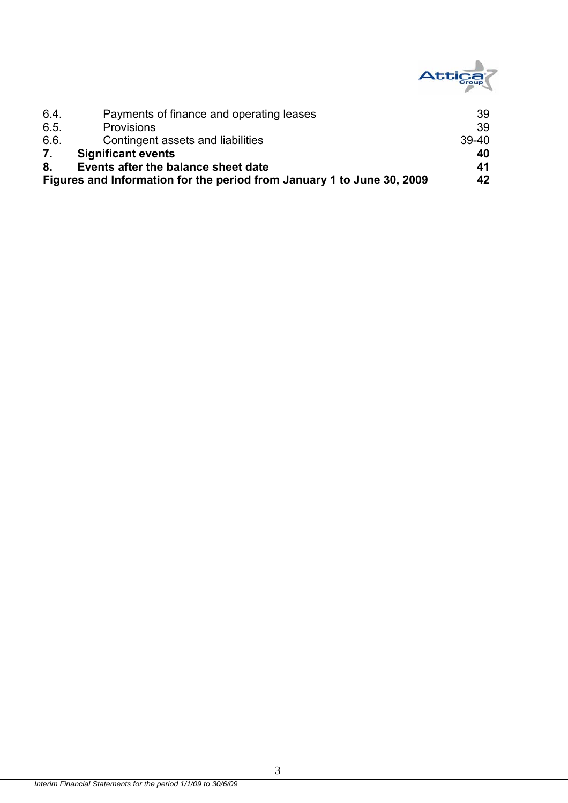

| 6.4  | Payments of finance and operating leases                               | 39      |
|------|------------------------------------------------------------------------|---------|
| 6.5. | <b>Provisions</b>                                                      | 39      |
| 6.6. | Contingent assets and liabilities                                      | $39-40$ |
| 7.   | <b>Significant events</b>                                              | 40      |
| 8.   | Events after the balance sheet date                                    | 41      |
|      | Figures and Information for the period from January 1 to June 30, 2009 | 42      |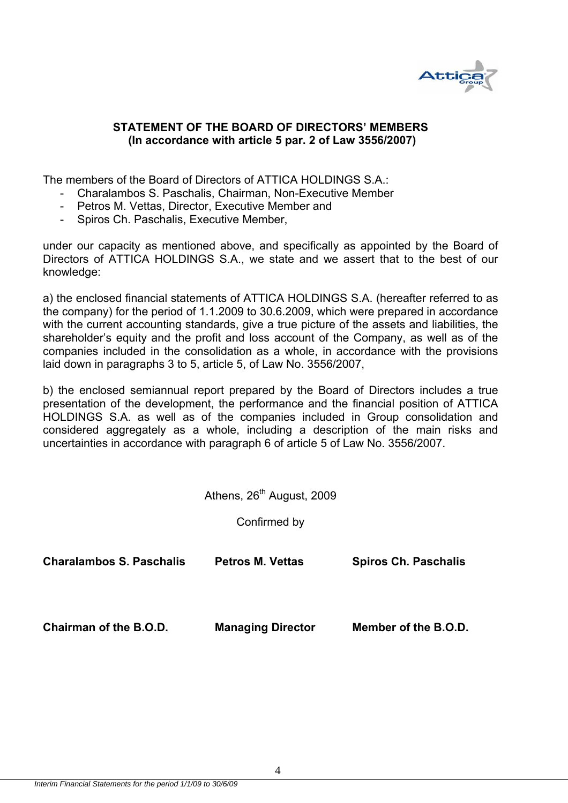

#### **STATEMENT OF THE BOARD OF DIRECTORS' MEMBERS (In accordance with article 5 par. 2 of Law 3556/2007)**

The members of the Board of Directors of ATTICA HOLDINGS S.A.:

- Charalambos S. Paschalis, Chairman, Non-Executive Member
- Petros M. Vettas, Director, Executive Member and
- Spiros Ch. Paschalis, Executive Member,

under our capacity as mentioned above, and specifically as appointed by the Board of Directors of ATTICA HOLDINGS S.A., we state and we assert that to the best of our knowledge:

a) the enclosed financial statements of ATTICA HOLDINGS S.A. (hereafter referred to as the company) for the period of 1.1.2009 to 30.6.2009, which were prepared in accordance with the current accounting standards, give a true picture of the assets and liabilities, the shareholder's equity and the profit and loss account of the Company, as well as of the companies included in the consolidation as a whole, in accordance with the provisions laid down in paragraphs 3 to 5, article 5, of Law No. 3556/2007,

b) the enclosed semiannual report prepared by the Board of Directors includes a true presentation of the development, the performance and the financial position of ATTICA HOLDINGS S.A. as well as of the companies included in Group consolidation and considered aggregately as a whole, including a description of the main risks and uncertainties in accordance with paragraph 6 of article 5 of Law No. 3556/2007.

Athens, 26<sup>th</sup> August, 2009

Confirmed by

| <b>Charalambos S. Paschalis</b> | <b>Petros M. Vettas</b>  | <b>Spiros Ch. Paschalis</b> |
|---------------------------------|--------------------------|-----------------------------|
| Chairman of the B.O.D.          | <b>Managing Director</b> | Member of the B.O.D.        |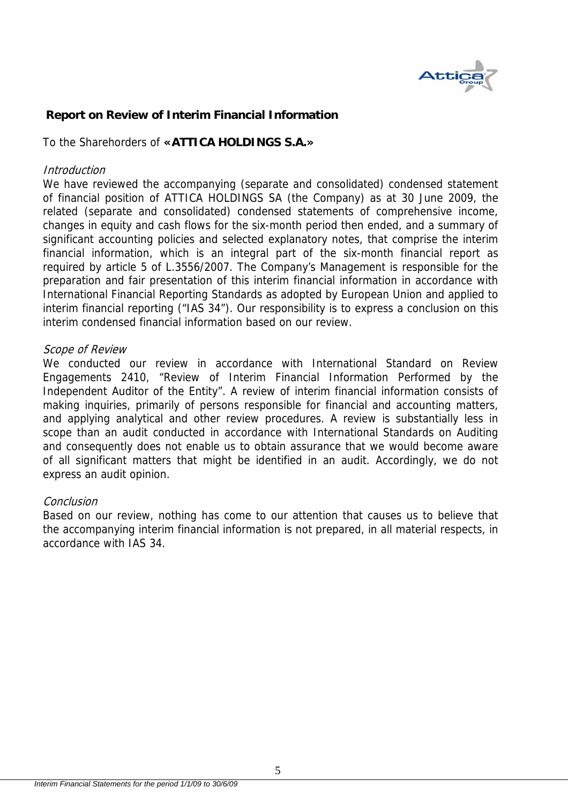

## **Report on Review of Interim Financial Information**

To the Sharehorders of **«ATTICA HOLDINGS S.A.»** 

#### **Introduction**

We have reviewed the accompanying (separate and consolidated) condensed statement of financial position of ATTICA HOLDINGS SA (the Company) as at 30 June 2009, the related (separate and consolidated) condensed statements of comprehensive income, changes in equity and cash flows for the six-month period then ended, and a summary of significant accounting policies and selected explanatory notes, that comprise the interim financial information, which is an integral part of the six-month financial report as required by article 5 of L.3556/2007. The Company's Management is responsible for the preparation and fair presentation of this interim financial information in accordance with International Financial Reporting Standards as adopted by European Union and applied to interim financial reporting ("IAS 34"). Our responsibility is to express a conclusion on this interim condensed financial information based on our review.

#### Scope of Review

We conducted our review in accordance with International Standard on Review Engagements 2410, "Review of Interim Financial Information Performed by the Independent Auditor of the Entity". A review of interim financial information consists of making inquiries, primarily of persons responsible for financial and accounting matters, and applying analytical and other review procedures. A review is substantially less in scope than an audit conducted in accordance with International Standards on Auditing and consequently does not enable us to obtain assurance that we would become aware of all significant matters that might be identified in an audit. Accordingly, we do not express an audit opinion.

#### Conclusion

Based on our review, nothing has come to our attention that causes us to believe that the accompanying interim financial information is not prepared, in all material respects, in accordance with IAS 34.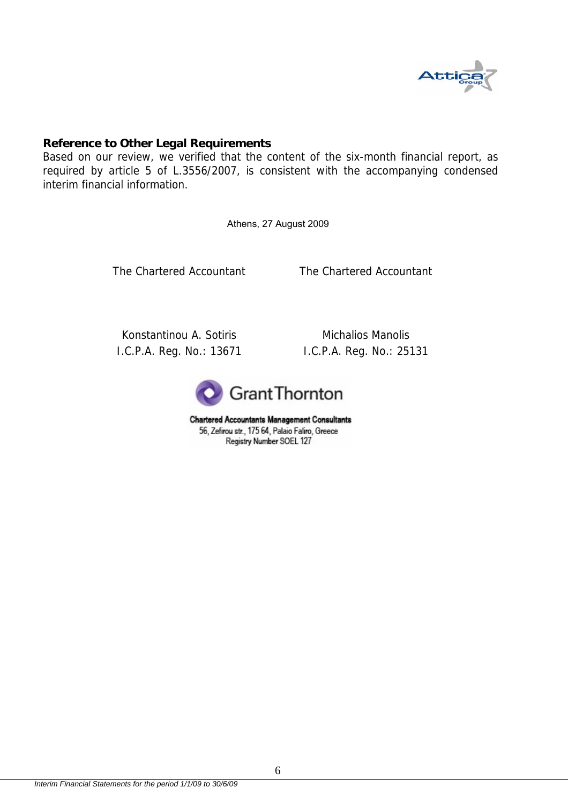

#### **Reference to Other Legal Requirements**

Based on our review, we verified that the content of the six-month financial report, as required by article 5 of L.3556/2007, is consistent with the accompanying condensed interim financial information.

Athens, 27 August 2009

The Chartered Accountant The Chartered Accountant

Konstantinou A. Sotiris I.C.P.A. Reg. No.: 13671

Michalios Manolis I.C.P.A. Reg. No.: 25131



**Chartered Accountants Management Consultants** 56, Zefirou str., 175 64, Palaio Faliro, Greece Registry Number SOEL 127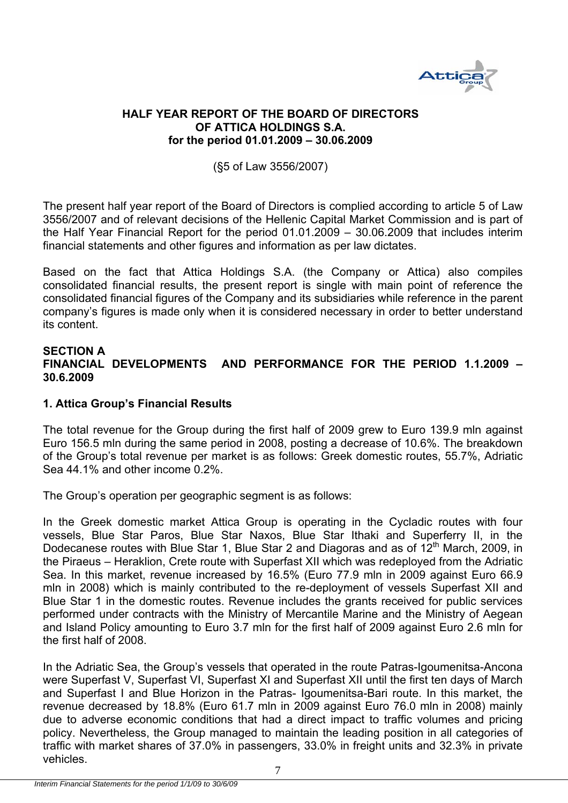

#### **HALF YEAR REPORT OF THE BOARD OF DIRECTORS OF ATTICA HOLDINGS S.A. for the period 01.01.2009 – 30.06.2009**

#### (§5 of Law 3556/2007)

The present half year report of the Board of Directors is complied according to article 5 of Law 3556/2007 and of relevant decisions of the Hellenic Capital Market Commission and is part of the Half Year Financial Report for the period 01.01.2009 – 30.06.2009 that includes interim financial statements and other figures and information as per law dictates.

Based on the fact that Attica Holdings S.A. (the Company or Attica) also compiles consolidated financial results, the present report is single with main point of reference the consolidated financial figures of the Company and its subsidiaries while reference in the parent company's figures is made only when it is considered necessary in order to better understand its content.

#### **SECTION A FINANCIAL DEVELOPMENTS AND PERFORMANCE FOR THE PERIOD 1.1.2009 – 30.6.2009**

#### **1. Attica Group's Financial Results**

The total revenue for the Group during the first half of 2009 grew to Euro 139.9 mln against Euro 156.5 mln during the same period in 2008, posting a decrease of 10.6%. The breakdown of the Group's total revenue per market is as follows: Greek domestic routes, 55.7%, Adriatic Sea 44.1% and other income 0.2%.

The Group's operation per geographic segment is as follows:

In the Greek domestic market Attica Group is operating in the Cycladic routes with four vessels, Blue Star Paros, Blue Star Naxos, Blue Star Ithaki and Superferry II, in the Dodecanese routes with Blue Star 1, Blue Star 2 and Diagoras and as of 12<sup>th</sup> March, 2009, in the Piraeus – Heraklion, Crete route with Superfast XII which was redeployed from the Adriatic Sea. In this market, revenue increased by 16.5% (Euro 77.9 mln in 2009 against Euro 66.9 mln in 2008) which is mainly contributed to the re-deployment of vessels Superfast XII and Blue Star 1 in the domestic routes. Revenue includes the grants received for public services performed under contracts with the Ministry of Mercantile Marine and the Ministry of Aegean and Island Policy amounting to Euro 3.7 mln for the first half of 2009 against Euro 2.6 mln for the first half of 2008.

In the Adriatic Sea, the Group's vessels that operated in the route Patras-Igoumenitsa-Ancona were Superfast V, Superfast VI, Superfast XI and Superfast XII until the first ten days of March and Superfast I and Blue Horizon in the Patras- Igoumenitsa-Bari route. In this market, the revenue decreased by 18.8% (Euro 61.7 mln in 2009 against Euro 76.0 mln in 2008) mainly due to adverse economic conditions that had a direct impact to traffic volumes and pricing policy. Nevertheless, the Group managed to maintain the leading position in all categories of traffic with market shares of 37.0% in passengers, 33.0% in freight units and 32.3% in private vehicles.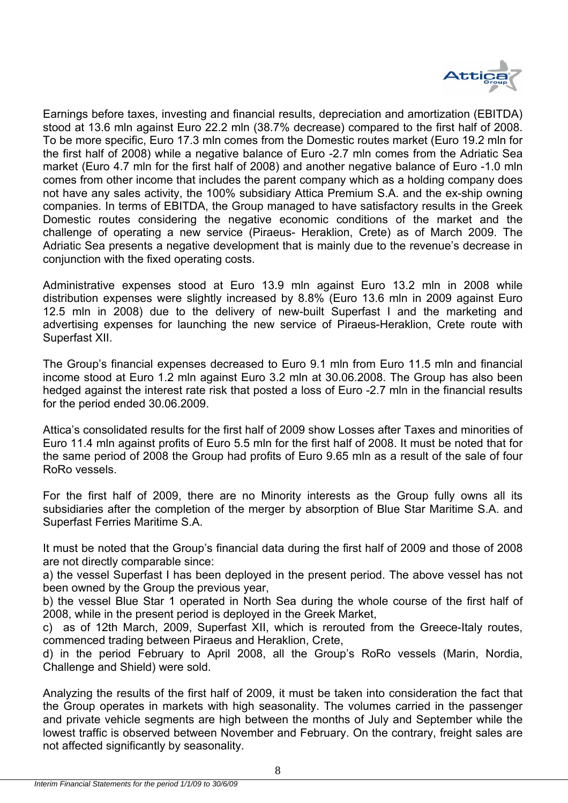

Earnings before taxes, investing and financial results, depreciation and amortization (EBITDA) stood at 13.6 mln against Euro 22.2 mln (38.7% decrease) compared to the first half of 2008. To be more specific, Euro 17.3 mln comes from the Domestic routes market (Euro 19.2 mln for the first half of 2008) while a negative balance of Euro -2.7 mln comes from the Adriatic Sea market (Euro 4.7 mln for the first half of 2008) and another negative balance of Euro -1.0 mln comes from other income that includes the parent company which as a holding company does not have any sales activity, the 100% subsidiary Attica Premium S.A. and the ex-ship owning companies. In terms of EBITDA, the Group managed to have satisfactory results in the Greek Domestic routes considering the negative economic conditions of the market and the challenge of operating a new service (Piraeus- Heraklion, Crete) as of March 2009. The Adriatic Sea presents a negative development that is mainly due to the revenue's decrease in conjunction with the fixed operating costs.

Administrative expenses stood at Euro 13.9 mln against Euro 13.2 mln in 2008 while distribution expenses were slightly increased by 8.8% (Euro 13.6 mln in 2009 against Euro 12.5 mln in 2008) due to the delivery of new-built Superfast I and the marketing and advertising expenses for launching the new service of Piraeus-Heraklion, Crete route with Superfast XII.

The Group's financial expenses decreased to Euro 9.1 mln from Euro 11.5 mln and financial income stood at Euro 1.2 mln against Euro 3.2 mln at 30.06.2008. The Group has also been hedged against the interest rate risk that posted a loss of Euro -2.7 mln in the financial results for the period ended 30.06.2009.

Attica's consolidated results for the first half of 2009 show Losses after Taxes and minorities of Euro 11.4 mln against profits of Euro 5.5 mln for the first half of 2008. It must be noted that for the same period of 2008 the Group had profits of Euro 9.65 mln as a result of the sale of four RoRo vessels.

For the first half of 2009, there are no Minority interests as the Group fully owns all its subsidiaries after the completion of the merger by absorption of Blue Star Maritime S.A. and Superfast Ferries Maritime S.A.

It must be noted that the Group's financial data during the first half of 2009 and those of 2008 are not directly comparable since:

a) the vessel Superfast I has been deployed in the present period. The above vessel has not been owned by the Group the previous year,

b) the vessel Blue Star 1 operated in North Sea during the whole course of the first half of 2008, while in the present period is deployed in the Greek Market,

c) as of 12th March, 2009, Superfast XII, which is rerouted from the Greece-Italy routes, commenced trading between Piraeus and Heraklion, Crete,

d) in the period February to April 2008, all the Group's RoRo vessels (Marin, Nordia, Challenge and Shield) were sold.

Analyzing the results of the first half of 2009, it must be taken into consideration the fact that the Group operates in markets with high seasonality. The volumes carried in the passenger and private vehicle segments are high between the months of July and September while the lowest traffic is observed between November and February. On the contrary, freight sales are not affected significantly by seasonality.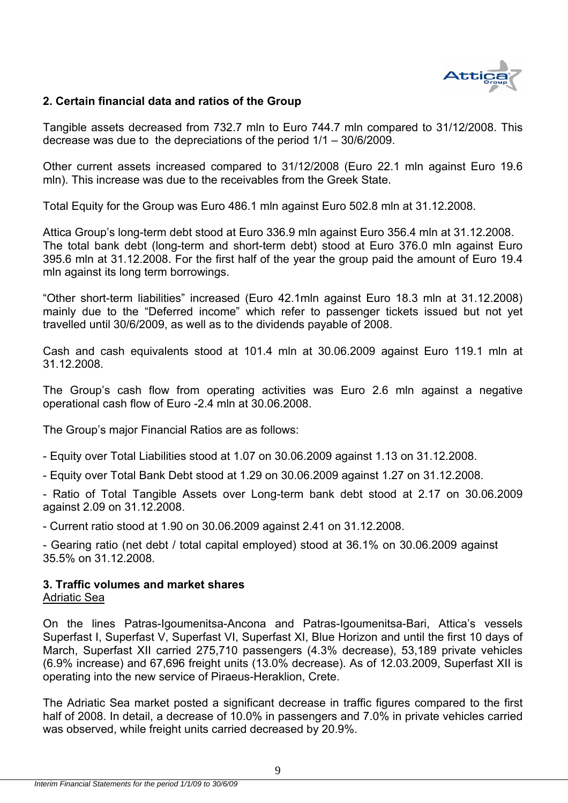

#### **2. Certain financial data and ratios of the Group**

Tangible assets decreased from 732.7 mln to Euro 744.7 mln compared to 31/12/2008. This decrease was due to the depreciations of the period 1/1 – 30/6/2009.

Other current assets increased compared to 31/12/2008 (Euro 22.1 mln against Euro 19.6 mln). This increase was due to the receivables from the Greek State.

Total Equity for the Group was Euro 486.1 mln against Euro 502.8 mln at 31.12.2008.

Attica Group's long-term debt stood at Euro 336.9 mln against Euro 356.4 mln at 31.12.2008. The total bank debt (long-term and short-term debt) stood at Euro 376.0 mln against Euro 395.6 mln at 31.12.2008. For the first half of the year the group paid the amount of Euro 19.4 mln against its long term borrowings.

"Other short-term liabilities" increased (Euro 42.1mln against Euro 18.3 mln at 31.12.2008) mainly due to the "Deferred income" which refer to passenger tickets issued but not yet travelled until 30/6/2009, as well as to the dividends payable of 2008.

Cash and cash equivalents stood at 101.4 mln at 30.06.2009 against Euro 119.1 mln at 31.12.2008.

The Group's cash flow from operating activities was Euro 2.6 mln against a negative operational cash flow of Euro -2.4 mln at 30.06.2008.

The Group's major Financial Ratios are as follows:

- Equity over Total Liabilities stood at 1.07 on 30.06.2009 against 1.13 on 31.12.2008.

- Equity over Total Bank Debt stood at 1.29 on 30.06.2009 against 1.27 on 31.12.2008.

- Ratio of Total Tangible Assets over Long-term bank debt stood at 2.17 on 30.06.2009 against 2.09 on 31.12.2008.

- Current ratio stood at 1.90 on 30.06.2009 against 2.41 on 31.12.2008.

- Gearing ratio (net debt / total capital employed) stood at 36.1% on 30.06.2009 against 35.5% on 31.12.2008.

#### **3. Traffic volumes and market shares**  Adriatic Sea

On the lines Patras-Igoumenitsa-Ancona and Patras-Igoumenitsa-Bari, Attica's vessels Superfast I, Superfast V, Superfast VI, Superfast XI, Blue Horizon and until the first 10 days of March, Superfast XII carried 275,710 passengers (4.3% decrease), 53,189 private vehicles  $(6.9\%$  increase) and 67,696 freight units  $(13.0\%$  decrease). As of 12,03,2009, Superfast XII is operating into the new service of Piraeus-Heraklion, Crete.

The Adriatic Sea market posted a significant decrease in traffic figures compared to the first half of 2008. In detail, a decrease of 10.0% in passengers and 7.0% in private vehicles carried was observed, while freight units carried decreased by 20.9%.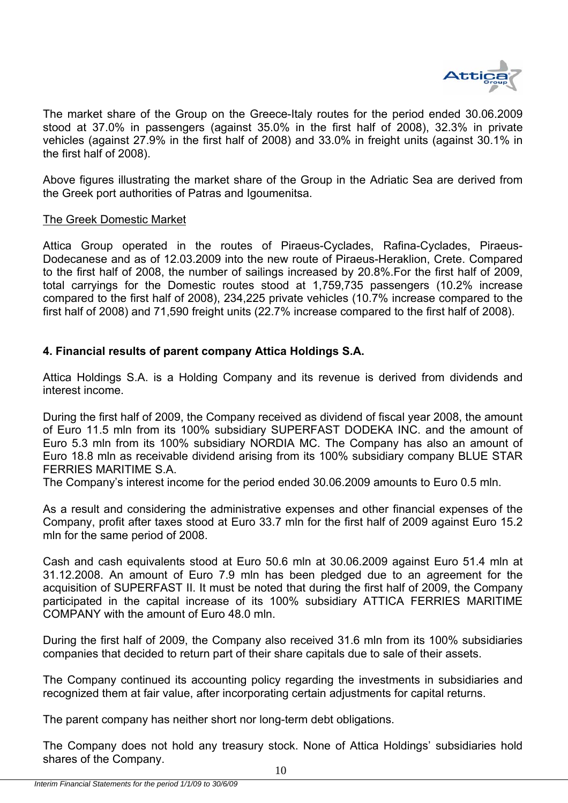

The market share of the Group on the Greece-Italy routes for the period ended 30.06.2009 stood at 37.0% in passengers (against 35.0% in the first half of 2008), 32.3% in private vehicles (against 27.9% in the first half of 2008) and 33.0% in freight units (against 30.1% in the first half of 2008).

Above figures illustrating the market share of the Group in the Adriatic Sea are derived from the Greek port authorities of Patras and Igoumenitsa.

#### The Greek Domestic Market

Attica Group operated in the routes of Piraeus-Cyclades, Rafina-Cyclades, Piraeus-Dodecanese and as of 12.03.2009 into the new route of Piraeus-Heraklion, Crete. Compared to the first half of 2008, the number of sailings increased by 20.8%.For the first half of 2009, total carryings for the Domestic routes stood at 1,759,735 passengers (10.2% increase compared to the first half of 2008), 234,225 private vehicles (10.7% increase compared to the first half of 2008) and 71,590 freight units (22.7% increase compared to the first half of 2008).

#### **4. Financial results of parent company Attica Holdings S.A.**

Attica Holdings S.A. is a Holding Company and its revenue is derived from dividends and interest income.

During the first half of 2009, the Company received as dividend of fiscal year 2008, the amount of Euro 11.5 mln from its 100% subsidiary SUPERFAST DODEKA INC. and the amount of Euro 5.3 mln from its 100% subsidiary NORDIA MC. The Company has also an amount of Euro 18.8 mln as receivable dividend arising from its 100% subsidiary company BLUE STAR FERRIES MARITIME S.A.

The Company's interest income for the period ended 30.06.2009 amounts to Euro 0.5 mln.

As a result and considering the administrative expenses and other financial expenses of the Company, profit after taxes stood at Euro 33.7 mln for the first half of 2009 against Euro 15.2 mln for the same period of 2008.

Cash and cash equivalents stood at Euro 50.6 mln at 30.06.2009 against Euro 51.4 mln at 31.12.2008. An amount of Euro 7.9 mln has been pledged due to an agreement for the acquisition of SUPERFAST II. It must be noted that during the first half of 2009, the Company participated in the capital increase of its 100% subsidiary ATTICA FERRIES MARITIME COMPANY with the amount of Euro 48.0 mln.

During the first half of 2009, the Company also received 31.6 mln from its 100% subsidiaries companies that decided to return part of their share capitals due to sale of their assets.

The Company continued its accounting policy regarding the investments in subsidiaries and recognized them at fair value, after incorporating certain adjustments for capital returns.

The parent company has neither short nor long-term debt obligations.

The Company does not hold any treasury stock. None of Attica Holdings' subsidiaries hold shares of the Company.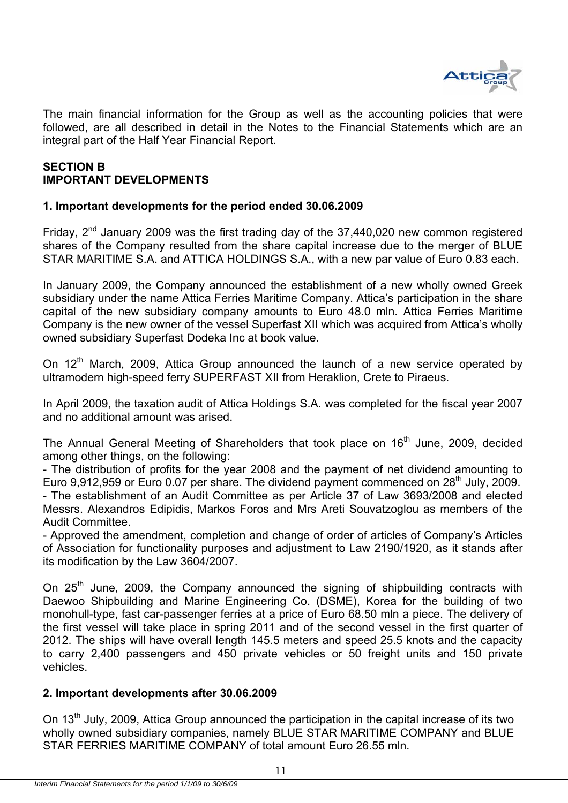

The main financial information for the Group as well as the accounting policies that were followed, are all described in detail in the Notes to the Financial Statements which are an integral part of the Half Year Financial Report.

#### **SECTION Β IMPORTANT DEVELOPMENTS**

#### **1. Important developments for the period ended 30.06.2009**

Friday,  $2^{nd}$  January 2009 was the first trading day of the 37,440,020 new common registered shares of the Company resulted from the share capital increase due to the merger of BLUE STAR MARITIME S.A. and ATTICA HOLDINGS S.A., with a new par value of Euro 0.83 each.

In January 2009, the Company announced the establishment of a new wholly owned Greek subsidiary under the name Attica Ferries Maritime Company. Attica's participation in the share capital of the new subsidiary company amounts to Euro 48.0 mln. Attica Ferries Maritime Company is the new owner of the vessel Superfast XII which was acquired from Attica's wholly owned subsidiary Superfast Dodeka Inc at book value.

On  $12<sup>th</sup>$  March, 2009, Attica Group announced the launch of a new service operated by ultramodern high-speed ferry SUPERFAST XII from Heraklion, Crete to Piraeus.

In April 2009, the taxation audit of Attica Holdings S.A. was completed for the fiscal year 2007 and no additional amount was arised.

The Annual General Meeting of Shareholders that took place on 16<sup>th</sup> June, 2009, decided among other things, on the following:

- The distribution of profits for the year 2008 and the payment of net dividend amounting to Euro 9,912,959 or Euro 0.07 per share. The dividend payment commenced on 28<sup>th</sup> July, 2009. - The establishment of an Audit Committee as per Article 37 of Law 3693/2008 and elected Messrs. Alexandros Edipidis, Markos Foros and Mrs Areti Souvatzoglou as members of the Audit Committee.

- Approved the amendment, completion and change of order of articles of Company's Articles of Association for functionality purposes and adjustment to Law 2190/1920, as it stands after its modification by the Law 3604/2007.

On 25<sup>th</sup> June, 2009, the Company announced the signing of shipbuilding contracts with Daewoo Shipbuilding and Marine Engineering Co. (DSME), Korea for the building of two monohull-type, fast car-passenger ferries at a price of Euro 68.50 mln a piece. The delivery of the first vessel will take place in spring 2011 and of the second vessel in the first quarter of 2012. The ships will have overall length 145.5 meters and speed 25.5 knots and the capacity to carry 2,400 passengers and 450 private vehicles or 50 freight units and 150 private vehicles.

#### **2. Important developments after 30.06.2009**

On 13<sup>th</sup> July, 2009, Attica Group announced the participation in the capital increase of its two wholly owned subsidiary companies, namely BLUE STAR MARITIME COMPANY and BLUE STAR FERRIES MARITIME COMPANY of total amount Euro 26.55 mln.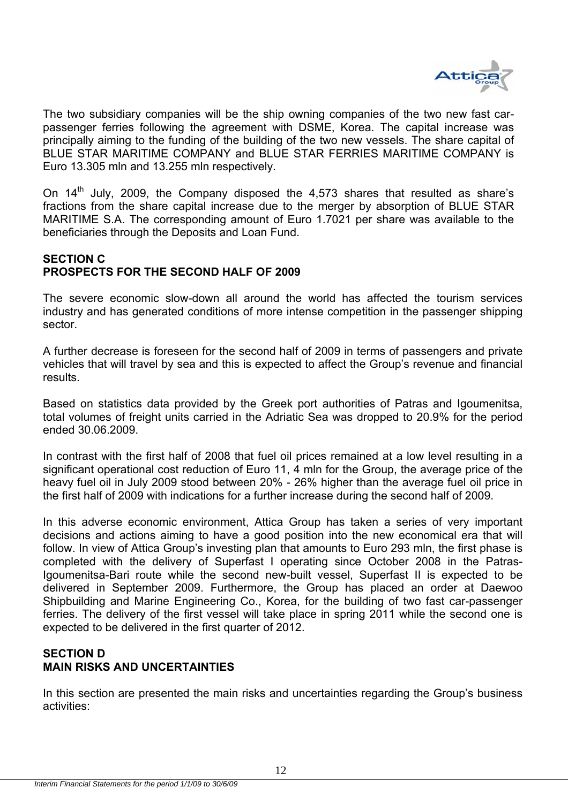

The two subsidiary companies will be the ship owning companies of the two new fast carpassenger ferries following the agreement with DSME, Korea. The capital increase was principally aiming to the funding of the building of the two new vessels. The share capital of BLUE STAR MARITIME COMPANY and BLUE STAR FERRIES MARITIME COMPANY is Euro 13.305 mln and 13.255 mln respectively.

On  $14<sup>th</sup>$  July, 2009, the Company disposed the 4,573 shares that resulted as share's fractions from the share capital increase due to the merger by absorption of BLUE STAR MARITIME S.A. The corresponding amount of Euro 1.7021 per share was available to the beneficiaries through the Deposits and Loan Fund.

#### **SECTION C PROSPECTS FOR THE SECOND HALF OF 2009**

The severe economic slow-down all around the world has affected the tourism services industry and has generated conditions of more intense competition in the passenger shipping sector.

A further decrease is foreseen for the second half of 2009 in terms of passengers and private vehicles that will travel by sea and this is expected to affect the Group's revenue and financial results.

Based on statistics data provided by the Greek port authorities of Patras and Igoumenitsa, total volumes of freight units carried in the Adriatic Sea was dropped to 20.9% for the period ended 30.06.2009.

In contrast with the first half of 2008 that fuel oil prices remained at a low level resulting in a significant operational cost reduction of Euro 11, 4 mln for the Group, the average price of the heavy fuel oil in July 2009 stood between 20% - 26% higher than the average fuel oil price in the first half of 2009 with indications for a further increase during the second half of 2009.

In this adverse economic environment, Attica Group has taken a series of very important decisions and actions aiming to have a good position into the new economical era that will follow. In view of Attica Group's investing plan that amounts to Euro 293 mln, the first phase is completed with the delivery of Superfast I operating since October 2008 in the Patras-Igoumenitsa-Bari route while the second new-built vessel, Superfast II is expected to be delivered in September 2009. Furthermore, the Group has placed an order at Daewoo Shipbuilding and Marine Engineering Co., Korea, for the building of two fast car-passenger ferries. The delivery of the first vessel will take place in spring 2011 while the second one is expected to be delivered in the first quarter of 2012.

#### **SECTION D MAIN RISKS AND UNCERTAINTIES**

In this section are presented the main risks and uncertainties regarding the Group's business activities: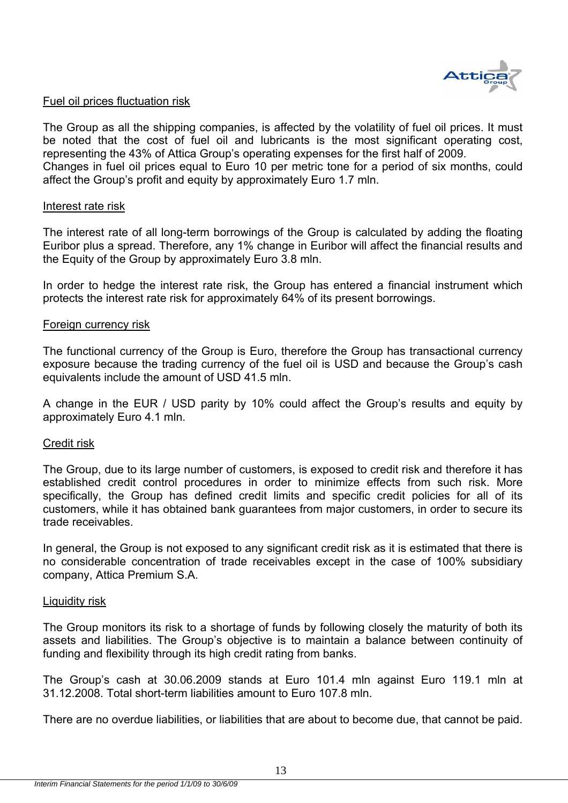

#### Fuel oil prices fluctuation risk

The Group as all the shipping companies, is affected by the volatility of fuel oil prices. It must be noted that the cost of fuel oil and lubricants is the most significant operating cost, representing the 43% of Attica Group's operating expenses for the first half of 2009. Changes in fuel oil prices equal to Euro 10 per metric tone for a period of six months, could affect the Group's profit and equity by approximately Euro 1.7 mln.

#### Interest rate risk

The interest rate of all long-term borrowings of the Group is calculated by adding the floating Euribor plus a spread. Therefore, any 1% change in Euribor will affect the financial results and the Equity of the Group by approximately Euro 3.8 mln.

In order to hedge the interest rate risk, the Group has entered a financial instrument which protects the interest rate risk for approximately 64% of its present borrowings.

#### Foreign currency risk

The functional currency of the Group is Euro, therefore the Group has transactional currency exposure because the trading currency of the fuel oil is USD and because the Group's cash equivalents include the amount of USD 41.5 mln.

A change in the EUR / USD parity by 10% could affect the Group's results and equity by approximately Euro 4.1 mln.

#### Credit risk

The Group, due to its large number of customers, is exposed to credit risk and therefore it has established credit control procedures in order to minimize effects from such risk. More specifically, the Group has defined credit limits and specific credit policies for all of its customers, while it has obtained bank guarantees from major customers, in order to secure its trade receivables.

In general, the Group is not exposed to any significant credit risk as it is estimated that there is no considerable concentration of trade receivables except in the case of 100% subsidiary company, Attica Premium S.A.

#### Liquidity risk

The Group monitors its risk to a shortage of funds by following closely the maturity of both its assets and liabilities. The Group's objective is to maintain a balance between continuity of funding and flexibility through its high credit rating from banks.

The Group's cash at 30.06.2009 stands at Euro 101.4 mln against Euro 119.1 mln at 31.12.2008. Total short-term liabilities amount to Euro 107.8 mln.

There are no overdue liabilities, or liabilities that are about to become due, that cannot be paid.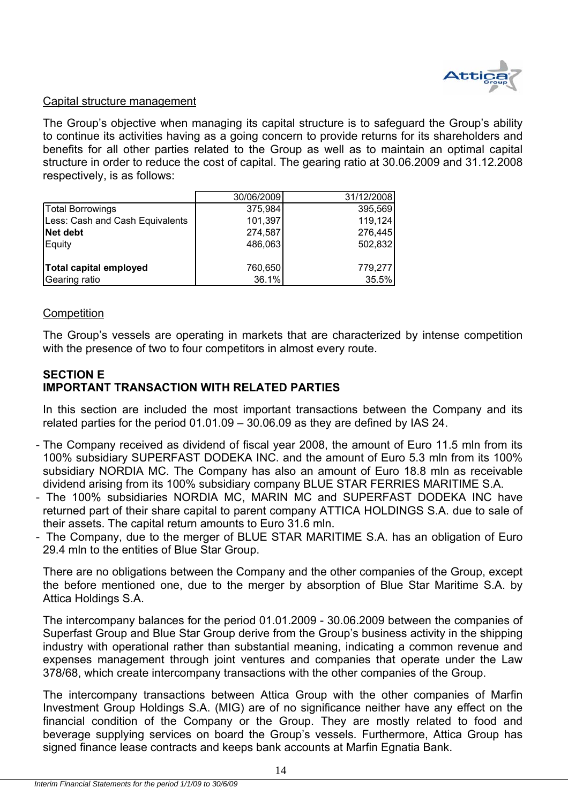

#### Capital structure management

The Group's objective when managing its capital structure is to safeguard the Group's ability to continue its activities having as a going concern to provide returns for its shareholders and benefits for all other parties related to the Group as well as to maintain an optimal capital structure in order to reduce the cost of capital. The gearing ratio at 30.06.2009 and 31.12.2008 respectively, is as follows:

|                                 | 30/06/2009 | 31/12/2008 |
|---------------------------------|------------|------------|
| Total Borrowings                | 375,984    | 395,569    |
| Less: Cash and Cash Equivalents | 101,397    | 119,124    |
| Net debt                        | 274,587    | 276,445    |
| Equity                          | 486,063    | 502,832    |
|                                 |            |            |
| Total capital employed          | 760,650    | 779,277    |
| Gearing ratio                   | 36.1%      | 35.5%      |

#### **Competition**

The Group's vessels are operating in markets that are characterized by intense competition with the presence of two to four competitors in almost every route.

#### **SECTION E IMPORTANT TRANSACTION WITH RELATED PARTIES**

In this section are included the most important transactions between the Company and its related parties for the period 01.01.09 – 30.06.09 as they are defined by IAS 24.

- The Company received as dividend of fiscal year 2008, the amount of Euro 11.5 mln from its 100% subsidiary SUPERFAST DODEKA INC. and the amount of Euro 5.3 mln from its 100% subsidiary NORDIA MC. The Company has also an amount of Euro 18.8 mln as receivable dividend arising from its 100% subsidiary company BLUE STAR FERRIES MARITIME S.A.
- The 100% subsidiaries NORDIA MC, MARIN MC and SUPERFAST DODEKA INC have returned part of their share capital to parent company ATTICA HOLDINGS S.A. due to sale of their assets. The capital return amounts to Euro 31.6 mln.
- The Company, due to the merger of BLUE STAR MARITIME S.A. has an obligation of Euro 29.4 mln to the entities of Blue Star Group.

There are no obligations between the Company and the other companies of the Group, except the before mentioned one, due to the merger by absorption of Blue Star Maritime S.A. by Attica Holdings S.A.

The intercompany balances for the period 01.01.2009 - 30.06.2009 between the companies of Superfast Group and Blue Star Group derive from the Group's business activity in the shipping industry with operational rather than substantial meaning, indicating a common revenue and expenses management through joint ventures and companies that operate under the Law 378/68, which create intercompany transactions with the other companies of the Group.

The intercompany transactions between Attica Group with the other companies of Marfin Investment Group Holdings S.A. (MIG) are of no significance neither have any effect on the financial condition of the Company or the Group. They are mostly related to food and beverage supplying services on board the Group's vessels. Furthermore, Attica Group has signed finance lease contracts and keeps bank accounts at Marfin Egnatia Bank.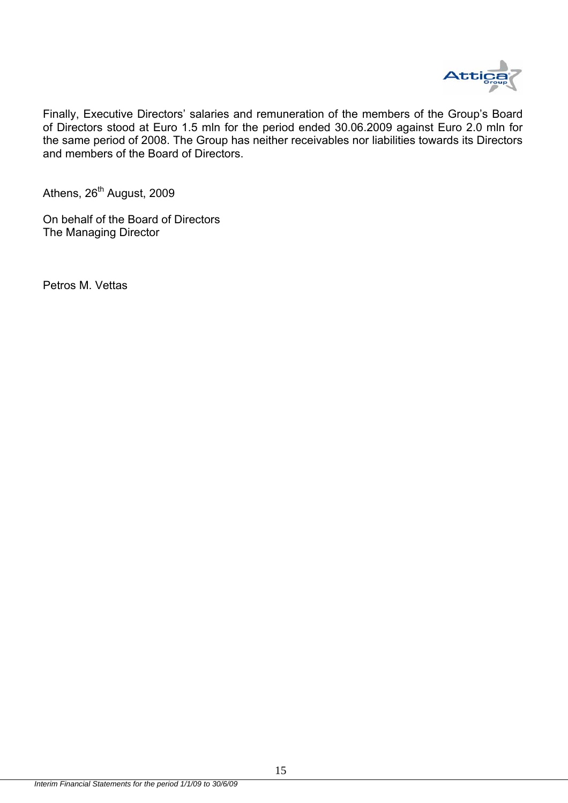

Finally, Executive Directors' salaries and remuneration of the members of the Group's Board of Directors stood at Euro 1.5 mln for the period ended 30.06.2009 against Euro 2.0 mln for the same period of 2008. The Group has neither receivables nor liabilities towards its Directors and members of the Board of Directors.

Athens, 26<sup>th</sup> August, 2009

On behalf of the Board of Directors The Managing Director

Petros M. Vettas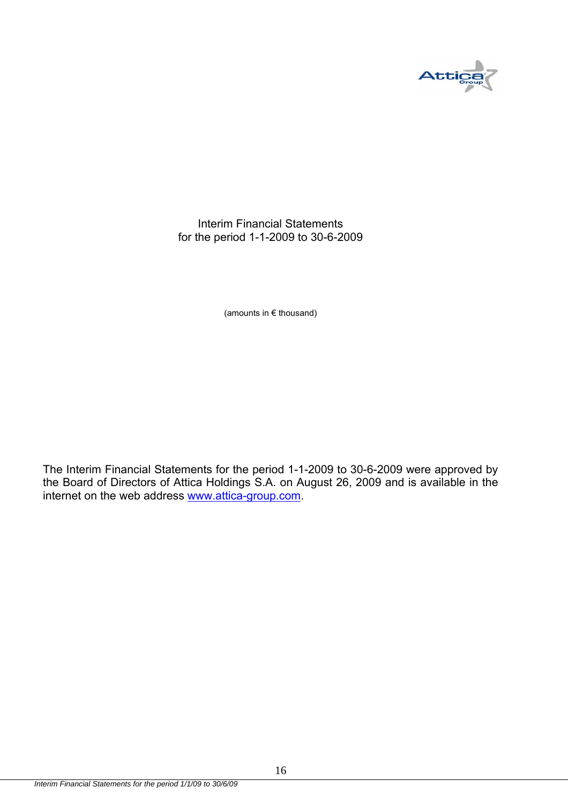

Interim Financial Statements for the period 1-1-2009 to 30-6-2009

(amounts in € thousand)

The Interim Financial Statements for the period 1-1-2009 to 30-6-2009 were approved by the Board of Directors of Attica Holdings S.A. on August 26, 2009 and is available in the internet on the web address www.attica-group.com.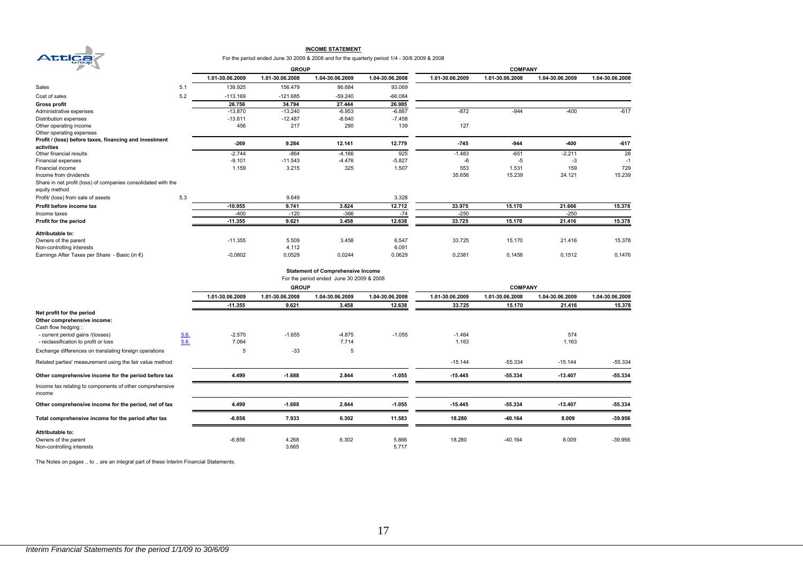

#### **INCOME STATEMENT**

For the period ended June 30 2009 & 2008 and for the quarterly period 1/4 - 30/6 2009 & 2008

| ×<br>∼                                                                         |     |                 | <b>GROUP</b>    |                 |                 |                 | <b>COMPANY</b>  |                 |                 |
|--------------------------------------------------------------------------------|-----|-----------------|-----------------|-----------------|-----------------|-----------------|-----------------|-----------------|-----------------|
|                                                                                |     | 1.01-30.06.2009 | 1.01-30.06.2008 | 1.04-30.06.2009 | 1.04-30.06.2008 | 1.01-30.06.2009 | 1.01-30.06.2008 | 1.04-30.06.2009 | 1.04-30.06.2008 |
| Sales                                                                          | 5.1 | 139.925         | 156.479         | 86.684          | 93.069          |                 |                 |                 |                 |
| Cost of sales                                                                  | 5.2 | $-113.169$      | $-121.685$      | $-59.240$       | $-66.084$       |                 |                 |                 |                 |
| <b>Gross profit</b>                                                            |     | 26.756          | 34.794          | 27.444          | 26.985          |                 |                 |                 |                 |
| Administrative expenses                                                        |     | $-13.870$       | $-13.240$       | $-6.953$        | $-6.887$        | $-872$          | $-944$          | $-400$          | $-617$          |
| Distribution expenses                                                          |     | $-13.611$       | $-12.487$       | $-8.640$        | $-7.458$        |                 |                 |                 |                 |
| Other operating income                                                         |     | 456             | 217             | 290             | 139             | 127             |                 |                 |                 |
| Other operating expenses                                                       |     |                 |                 |                 |                 |                 |                 |                 |                 |
| Profit / (loss) before taxes, financing and investment                         |     | $-269$          | 9.284           | 12.141          | 12.779          | $-745$          | $-944$          | $-400$          | $-617$          |
| activities                                                                     |     |                 |                 |                 |                 |                 |                 |                 |                 |
| Other financial results                                                        |     | $-2.744$        | $-864$          | $-4.166$        | 925             | $-1.483$        | $-651$          | $-2.211$        | 28              |
| Financial expenses                                                             |     | $-9.101$        | $-11.543$       | $-4.476$        | $-5.827$        | -6              | $-5$            | $-3$            | $-1$            |
| Financial income                                                               |     | 1.159           | 3.215           | 325             | 1.507           | 553             | 1.531           | 159             | 729             |
| Income from dividends                                                          |     |                 |                 |                 |                 | 35.656          | 15.239          | 24.121          | 15.239          |
| Share in net profit (loss) of companies consolidated with the<br>equity method |     |                 |                 |                 |                 |                 |                 |                 |                 |
| Profit/ (loss) from sale of assets                                             | 5.3 |                 | 9.649           |                 | 3.328           |                 |                 |                 |                 |
| Profit before income tax                                                       |     | $-10.955$       | 9.741           | 3.824           | 12.712          | 33.975          | 15.170          | 21.666          | 15.378          |
| Income taxes                                                                   |     | $-400$          | $-120$          | $-366$          | $-74$           | $-250$          |                 | $-250$          |                 |
| Profit for the period                                                          |     | $-11.355$       | 9.621           | 3.458           | 12.638          | 33.725          | 15.170          | 21.416          | 15.378          |
| Attributable to:                                                               |     |                 |                 |                 |                 |                 |                 |                 |                 |
| Owners of the parent                                                           |     | $-11.355$       | 5.509           | 3.458           | 6.547           | 33.725          | 15.170          | 21.416          | 15.378          |
| Non-controlling interests                                                      |     |                 | 4.112           |                 | 6.091           |                 |                 |                 |                 |
| Earnings After Taxes per Share - Basic (in €)                                  |     | $-0,0802$       | 0,0529          | 0,0244          | 0,0629          | 0,2381          | 0,1456          | 0,1512          | 0,1476          |

**Statement of Comprehensive Income**

|                                                                    |      |                 | <b>GROUP</b>    |                 |                 |                 | <b>COMPANY</b>  |                 |                 |
|--------------------------------------------------------------------|------|-----------------|-----------------|-----------------|-----------------|-----------------|-----------------|-----------------|-----------------|
|                                                                    |      | 1.01-30.06.2009 | 1.01-30.06.2008 | 1.04-30.06.2009 | 1.04-30.06.2008 | 1.01-30.06.2009 | 1.01-30.06.2008 | 1.04-30.06.2009 | 1.04-30.06.2008 |
|                                                                    |      | $-11.355$       | 9.621           | 3.458           | 12.638          | 33.725          | 15.170          | 21.416          | 15.378          |
| Net profit for the period                                          |      |                 |                 |                 |                 |                 |                 |                 |                 |
| Other comprehensive income:                                        |      |                 |                 |                 |                 |                 |                 |                 |                 |
| Cash flow hedging:                                                 |      |                 |                 |                 |                 |                 |                 |                 |                 |
| - current period gains /(losses)                                   | 5.6. | $-2.570$        | $-1.655$        | $-4.875$        | $-1.055$        | $-1.464$        |                 | 574             |                 |
| - reclassification to profit or loss                               | 5.6. | 7.064           |                 | 7.714           |                 | 1.163           |                 | 1.163           |                 |
| Exchange differences on translating foreign operations             |      | 5               | $-33$           | 5               |                 |                 |                 |                 |                 |
| Related parties' measurement using the fair value method           |      |                 |                 |                 |                 | $-15.144$       | $-55.334$       | $-15.144$       | $-55.334$       |
| Other comprehensive income for the period before tax               |      | 4.499           | $-1.688$        | 2.844           | $-1.055$        | $-15.445$       | $-55.334$       | $-13.407$       | $-55.334$       |
| Income tax relating to components of other comprehensive<br>income |      |                 |                 |                 |                 |                 |                 |                 |                 |
| Other comprehensive income for the period, net of tax              |      | 4.499           | $-1.688$        | 2.844           | $-1.055$        | $-15.445$       | $-55.334$       | $-13.407$       | $-55.334$       |
| Total comprehensive income for the period after tax                |      | $-6.856$        | 7.933           | 6.302           | 11.583          | 18.280          | $-40.164$       | 8.009           | $-39.956$       |
| Attributable to:                                                   |      |                 |                 |                 |                 |                 |                 |                 |                 |
| Owners of the parent                                               |      | $-6.856$        | 4.268           | 6.302           | 5.866           | 18.280          | $-40.164$       | 8.009           | $-39.956$       |
| Non-controlling interests                                          |      |                 | 3.665           |                 | 5.717           |                 |                 |                 |                 |

The Notes on pages .. to .. are an integral part of these Interim Financial Statements.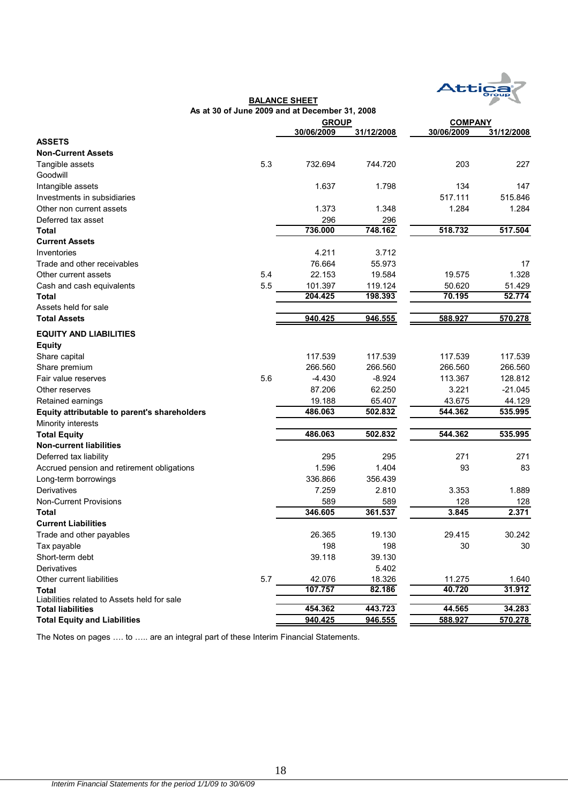

|                                              |     | As at 30 of June 2009 and at December 31, 2008 |            |                |            |
|----------------------------------------------|-----|------------------------------------------------|------------|----------------|------------|
|                                              |     | <b>GROUP</b>                                   |            | <b>COMPANY</b> |            |
|                                              |     | 30/06/2009                                     | 31/12/2008 | 30/06/2009     | 31/12/2008 |
| <b>ASSETS</b>                                |     |                                                |            |                |            |
| <b>Non-Current Assets</b>                    |     |                                                |            |                |            |
| Tangible assets                              | 5.3 | 732.694                                        | 744.720    | 203            | 227        |
| Goodwill                                     |     |                                                |            |                |            |
| Intangible assets                            |     | 1.637                                          | 1.798      | 134            | 147        |
| Investments in subsidiaries                  |     |                                                |            | 517.111        | 515.846    |
| Other non current assets                     |     | 1.373                                          | 1.348      | 1.284          | 1.284      |
| Deferred tax asset                           |     | 296                                            | 296        |                |            |
| Total                                        |     | 736.000                                        | 748.162    | 518.732        | 517.504    |
| <b>Current Assets</b>                        |     |                                                |            |                |            |
| Inventories                                  |     | 4.211                                          | 3.712      |                |            |
| Trade and other receivables                  |     | 76.664                                         | 55.973     |                | 17         |
| Other current assets                         | 5.4 | 22.153                                         | 19.584     | 19.575         | 1.328      |
| Cash and cash equivalents                    | 5.5 | 101.397                                        | 119.124    | 50.620         | 51.429     |
| Total                                        |     | 204.425                                        | 198.393    | 70.195         | 52.774     |
| Assets held for sale                         |     |                                                |            |                |            |
| <b>Total Assets</b>                          |     | 940.425                                        | 946.555    | 588.927        | 570.278    |
| <b>EQUITY AND LIABILITIES</b>                |     |                                                |            |                |            |
| <b>Equity</b>                                |     |                                                |            |                |            |
| Share capital                                |     | 117.539                                        | 117.539    | 117.539        | 117.539    |
| Share premium                                |     | 266.560                                        | 266.560    | 266.560        | 266.560    |
| Fair value reserves                          | 5.6 | $-4.430$                                       | $-8.924$   | 113.367        | 128.812    |
| Other reserves                               |     | 87.206                                         | 62.250     | 3.221          | $-21.045$  |
| Retained earnings                            |     | 19.188                                         | 65.407     | 43.675         | 44.129     |
| Equity attributable to parent's shareholders |     | 486.063                                        | 502.832    | 544.362        | 535.995    |
| Minority interests                           |     |                                                |            |                |            |
| <b>Total Equity</b>                          |     | 486.063                                        | 502.832    | 544.362        | 535.995    |
| <b>Non-current liabilities</b>               |     |                                                |            |                |            |
| Deferred tax liability                       |     | 295                                            | 295        | 271            | 271        |
| Accrued pension and retirement obligations   |     | 1.596                                          | 1.404      | 93             | 83         |
| Long-term borrowings                         |     | 336.866                                        | 356.439    |                |            |
| Derivatives                                  |     | 7.259                                          | 2.810      | 3.353          | 1.889      |
| <b>Non-Current Provisions</b>                |     | 589                                            | 589        | 128            | 128        |
| Total                                        |     | 346.605                                        | 361.537    | 3.845          | 2.371      |
| <b>Current Liabilities</b>                   |     |                                                |            |                |            |
| Trade and other payables                     |     | 26.365                                         | 19.130     | 29.415         | 30.242     |
| Tax payable                                  |     | 198                                            | 198        | 30             | 30         |
| Short-term debt                              |     | 39.118                                         | 39.130     |                |            |
| Derivatives                                  |     |                                                | 5.402      |                |            |
| Other current liabilities                    | 5.7 | 42.076                                         | 18.326     | 11.275         | 1.640      |
| Total                                        |     | 107.757                                        | 82.186     | 40.720         | 31.912     |
| Liabilities related to Assets held for sale  |     |                                                |            |                |            |
| <b>Total liabilities</b>                     |     | 454.362                                        | 443.723    | 44.565         | 34.283     |
| <b>Total Equity and Liabilities</b>          |     | 940.425                                        | 946.555    | 588.927        | 570.278    |

**BALANCE SHEET**

The Notes on pages …. to ….. are an integral part of these Interim Financial Statements.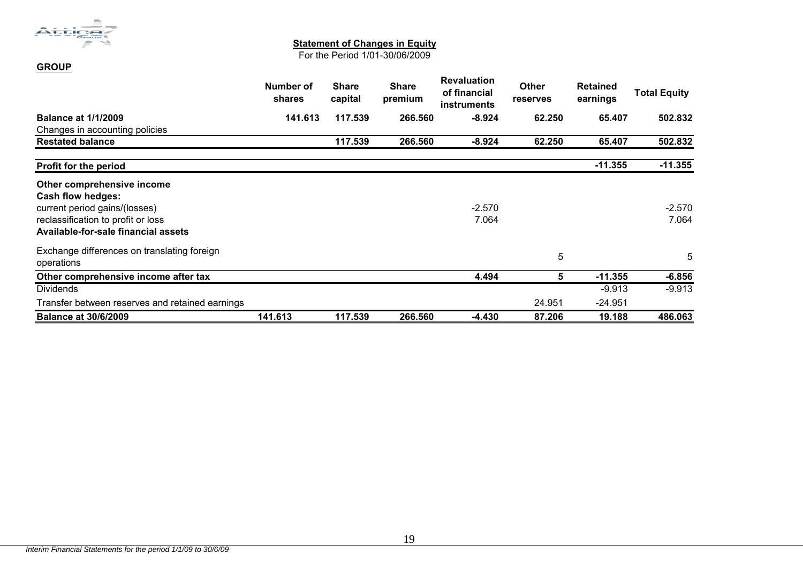

**GROUP**

#### **Statement of Changes in Equity**

For the Period 1/01-30/06/2009

|                                                           | Number of<br>shares | <b>Share</b><br>capital | <b>Share</b><br>premium | <b>Revaluation</b><br>of financial<br><b>instruments</b> | <b>Other</b><br><b>reserves</b> | <b>Retained</b><br>earnings | <b>Total Equity</b> |
|-----------------------------------------------------------|---------------------|-------------------------|-------------------------|----------------------------------------------------------|---------------------------------|-----------------------------|---------------------|
| <b>Balance at 1/1/2009</b>                                | 141.613             | 117.539                 | 266,560                 | $-8.924$                                                 | 62.250                          | 65.407                      | 502.832             |
| Changes in accounting policies                            |                     |                         |                         |                                                          |                                 |                             |                     |
| <b>Restated balance</b>                                   |                     | 117.539                 | 266.560                 | $-8.924$                                                 | 62.250                          | 65.407                      | 502.832             |
| <b>Profit for the period</b>                              |                     |                         |                         |                                                          |                                 | $-11.355$                   | $-11.355$           |
| Other comprehensive income                                |                     |                         |                         |                                                          |                                 |                             |                     |
| <b>Cash flow hedges:</b>                                  |                     |                         |                         |                                                          |                                 |                             |                     |
| current period gains/(losses)                             |                     |                         |                         | $-2.570$                                                 |                                 |                             | $-2.570$            |
| reclassification to profit or loss                        |                     |                         |                         | 7.064                                                    |                                 |                             | 7.064               |
| Available-for-sale financial assets                       |                     |                         |                         |                                                          |                                 |                             |                     |
| Exchange differences on translating foreign<br>operations |                     |                         |                         |                                                          | 5                               |                             | 5                   |
| Other comprehensive income after tax                      |                     |                         |                         | 4.494                                                    | 5 <sup>5</sup>                  | $-11.355$                   | $-6.856$            |
| <b>Dividends</b>                                          |                     |                         |                         |                                                          |                                 | $-9.913$                    | $-9.913$            |
| Transfer between reserves and retained earnings           |                     |                         |                         |                                                          | 24.951                          | -24.951                     |                     |
| <b>Balance at 30/6/2009</b>                               | 141.613             | 117.539                 | 266.560                 | $-4.430$                                                 | 87.206                          | 19.188                      | 486.063             |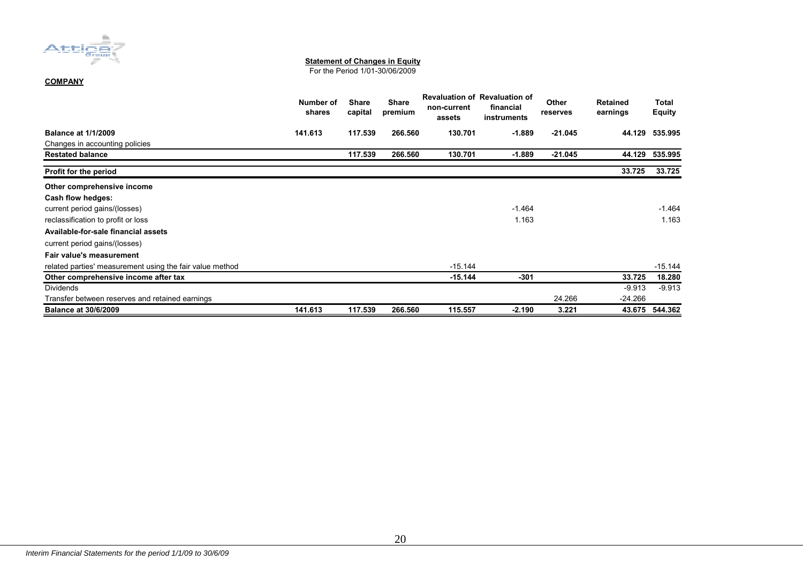

#### **Statement of Changes in Equity**

For the Period 1/01-30/06/2009

#### **COMPANY**

|                                                          | Number of<br>shares | <b>Share</b><br>capital | <b>Share</b><br>premium | non-current<br>assets | <b>Revaluation of Revaluation of</b><br>financial<br>instruments | Other<br>reserves | <b>Retained</b><br>earnings | Total<br><b>Equity</b> |
|----------------------------------------------------------|---------------------|-------------------------|-------------------------|-----------------------|------------------------------------------------------------------|-------------------|-----------------------------|------------------------|
| <b>Balance at 1/1/2009</b>                               | 141.613             | 117.539                 | 266.560                 | 130.701               | $-1.889$                                                         | $-21.045$         | 44.129                      | 535.995                |
| Changes in accounting policies                           |                     |                         |                         |                       |                                                                  |                   |                             |                        |
| <b>Restated balance</b>                                  |                     | 117.539                 | 266.560                 | 130.701               | $-1.889$                                                         | $-21.045$         | 44.129                      | 535.995                |
| Profit for the period                                    |                     |                         |                         |                       |                                                                  |                   | 33.725                      | 33.725                 |
| Other comprehensive income                               |                     |                         |                         |                       |                                                                  |                   |                             |                        |
| Cash flow hedges:                                        |                     |                         |                         |                       |                                                                  |                   |                             |                        |
| current period gains/(losses)                            |                     |                         |                         |                       | $-1.464$                                                         |                   |                             | $-1.464$               |
| reclassification to profit or loss                       |                     |                         |                         |                       | 1.163                                                            |                   |                             | 1.163                  |
| Available-for-sale financial assets                      |                     |                         |                         |                       |                                                                  |                   |                             |                        |
| current period gains/(losses)                            |                     |                         |                         |                       |                                                                  |                   |                             |                        |
| Fair value's measurement                                 |                     |                         |                         |                       |                                                                  |                   |                             |                        |
| related parties' measurement using the fair value method |                     |                         |                         | $-15.144$             |                                                                  |                   |                             | $-15.144$              |
| Other comprehensive income after tax                     |                     |                         |                         | $-15.144$             | $-301$                                                           |                   | 33.725                      | 18.280                 |
| <b>Dividends</b>                                         |                     |                         |                         |                       |                                                                  |                   | $-9.913$                    | $-9.913$               |
| Transfer between reserves and retained earnings          |                     |                         |                         |                       |                                                                  | 24.266            | $-24.266$                   |                        |
| <b>Balance at 30/6/2009</b>                              | 141.613             | 117.539                 | 266.560                 | 115.557               | $-2.190$                                                         | 3.221             | 43.675                      | 544.362                |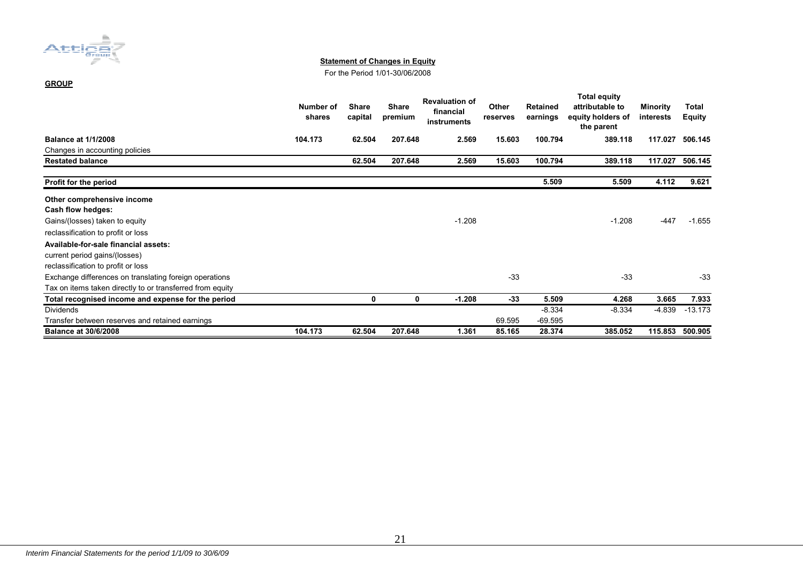

#### **Statement of Changes in Equity**

For the Period 1/01-30/06/2008

#### **GROUP**

|                                                           | Number of<br>shares | <b>Share</b><br>capital | <b>Share</b><br>premium | <b>Revaluation of</b><br>financial<br>instruments | Other<br>reserves | <b>Retained</b><br>earnings | Total equity<br>attributable to<br>equity holders of<br>the parent | <b>Minority</b><br>interests | Total<br><b>Equity</b> |
|-----------------------------------------------------------|---------------------|-------------------------|-------------------------|---------------------------------------------------|-------------------|-----------------------------|--------------------------------------------------------------------|------------------------------|------------------------|
| <b>Balance at 1/1/2008</b>                                | 104.173             | 62.504                  | 207.648                 | 2.569                                             | 15.603            | 100.794                     | 389.118                                                            | 117.027                      | 506.145                |
| Changes in accounting policies                            |                     |                         |                         |                                                   |                   |                             |                                                                    |                              |                        |
| <b>Restated balance</b>                                   |                     | 62.504                  | 207.648                 | 2.569                                             | 15.603            | 100.794                     | 389.118                                                            | 117.027                      | 506.145                |
| Profit for the period                                     |                     |                         |                         |                                                   |                   | 5.509                       | 5.509                                                              | 4.112                        | 9.621                  |
| Other comprehensive income                                |                     |                         |                         |                                                   |                   |                             |                                                                    |                              |                        |
| Cash flow hedges:                                         |                     |                         |                         |                                                   |                   |                             |                                                                    |                              |                        |
| Gains/(losses) taken to equity                            |                     |                         |                         | $-1.208$                                          |                   |                             | $-1.208$                                                           | $-447$                       | $-1.655$               |
| reclassification to profit or loss                        |                     |                         |                         |                                                   |                   |                             |                                                                    |                              |                        |
| Available-for-sale financial assets:                      |                     |                         |                         |                                                   |                   |                             |                                                                    |                              |                        |
| current period gains/(losses)                             |                     |                         |                         |                                                   |                   |                             |                                                                    |                              |                        |
| reclassification to profit or loss                        |                     |                         |                         |                                                   |                   |                             |                                                                    |                              |                        |
| Exchange differences on translating foreign operations    |                     |                         |                         |                                                   | $-33$             |                             | $-33$                                                              |                              | $-33$                  |
| Tax on items taken directly to or transferred from equity |                     |                         |                         |                                                   |                   |                             |                                                                    |                              |                        |
| Total recognised income and expense for the period        |                     | 0                       | $\mathbf 0$             | $-1.208$                                          | $-33$             | 5.509                       | 4.268                                                              | 3.665                        | 7.933                  |
| Dividends                                                 |                     |                         |                         |                                                   |                   | $-8.334$                    | $-8.334$                                                           | $-4.839$                     | $-13.173$              |
| Transfer between reserves and retained earnings           |                     |                         |                         |                                                   | 69.595            | $-69.595$                   |                                                                    |                              |                        |
| <b>Balance at 30/6/2008</b>                               | 104.173             | 62.504                  | 207.648                 | 1.361                                             | 85.165            | 28.374                      | 385.052                                                            | 115.853                      | 500.905                |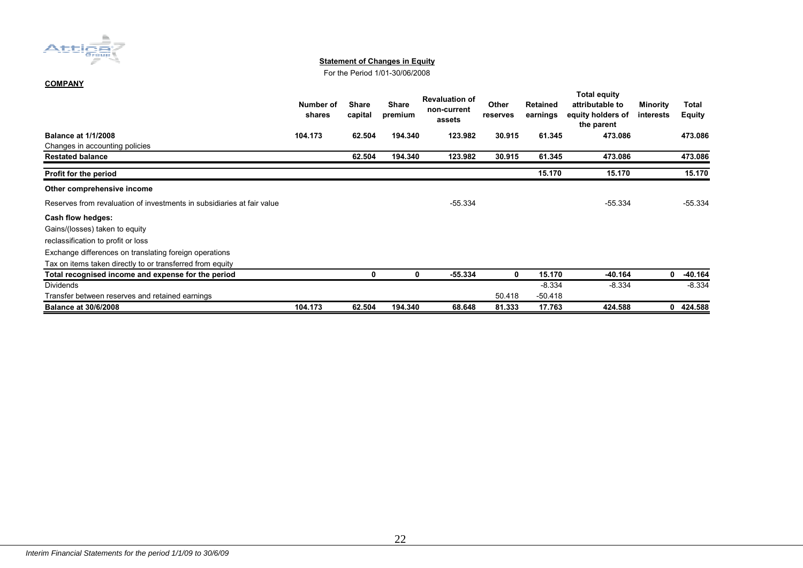

#### **Statement of Changes in Equity**

For the Period 1/01-30/06/2008

#### **COMPANY**

|                                                                        | Number of<br>shares | Share<br>capital | <b>Share</b><br>premium | <b>Revaluation of</b><br>non-current<br>assets | Other<br>reserves | <b>Retained</b><br>earnings | <b>Total equity</b><br>attributable to<br>equity holders of<br>the parent | Minority<br>interests | Total<br><b>Equity</b> |
|------------------------------------------------------------------------|---------------------|------------------|-------------------------|------------------------------------------------|-------------------|-----------------------------|---------------------------------------------------------------------------|-----------------------|------------------------|
| <b>Balance at 1/1/2008</b>                                             | 104.173             | 62.504           | 194.340                 | 123.982                                        | 30.915            | 61.345                      | 473.086                                                                   |                       | 473.086                |
| Changes in accounting policies                                         |                     |                  |                         |                                                |                   |                             |                                                                           |                       |                        |
| <b>Restated balance</b>                                                |                     | 62.504           | 194.340                 | 123.982                                        | 30.915            | 61.345                      | 473.086                                                                   |                       | 473.086                |
| Profit for the period                                                  |                     |                  |                         |                                                |                   | 15.170                      | 15.170                                                                    |                       | 15.170                 |
| Other comprehensive income                                             |                     |                  |                         |                                                |                   |                             |                                                                           |                       |                        |
| Reserves from revaluation of investments in subsidiaries at fair value |                     |                  |                         | $-55.334$                                      |                   |                             | $-55.334$                                                                 |                       | $-55.334$              |
| Cash flow hedges:                                                      |                     |                  |                         |                                                |                   |                             |                                                                           |                       |                        |
| Gains/(losses) taken to equity                                         |                     |                  |                         |                                                |                   |                             |                                                                           |                       |                        |
| reclassification to profit or loss                                     |                     |                  |                         |                                                |                   |                             |                                                                           |                       |                        |
| Exchange differences on translating foreign operations                 |                     |                  |                         |                                                |                   |                             |                                                                           |                       |                        |
| Tax on items taken directly to or transferred from equity              |                     |                  |                         |                                                |                   |                             |                                                                           |                       |                        |
| Total recognised income and expense for the period                     |                     | ŋ                | 0                       | $-55.334$                                      | 0                 | 15.170                      | -40.164                                                                   | 0                     | $-40.164$              |
| <b>Dividends</b>                                                       |                     |                  |                         |                                                |                   | $-8.334$                    | $-8.334$                                                                  |                       | $-8.334$               |
| Transfer between reserves and retained earnings                        |                     |                  |                         |                                                | 50.418            | $-50.418$                   |                                                                           |                       |                        |
| <b>Balance at 30/6/2008</b>                                            | 104.173             | 62.504           | 194.340                 | 68.648                                         | 81.333            | 17.763                      | 424.588                                                                   | 0                     | 424.588                |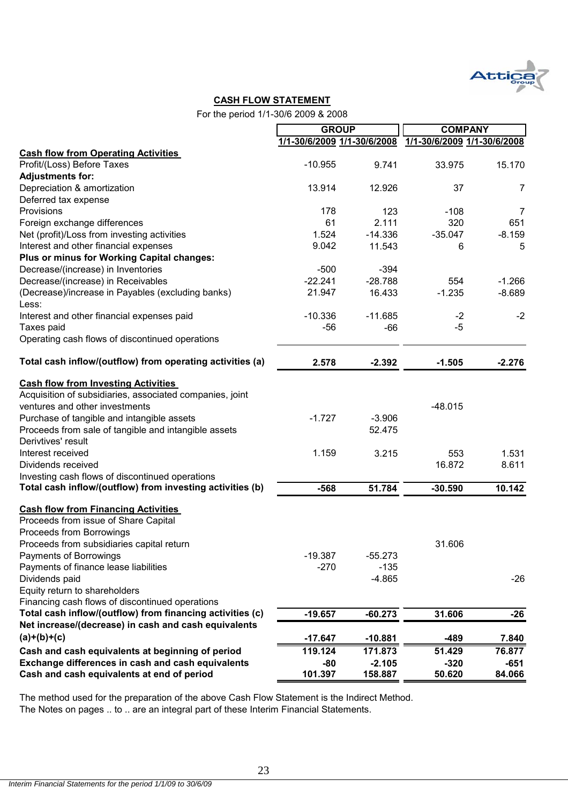

#### **CASH FLOW STATEMENT**

For the period 1/1-30/6 2009 & 2008

|                                                                                                                                          | <b>GROUP</b> |                             | <b>COMPANY</b>              |                |
|------------------------------------------------------------------------------------------------------------------------------------------|--------------|-----------------------------|-----------------------------|----------------|
|                                                                                                                                          |              | 1/1-30/6/2009 1/1-30/6/2008 | 1/1-30/6/2009 1/1-30/6/2008 |                |
| <b>Cash flow from Operating Activities</b>                                                                                               |              |                             |                             |                |
| Profit/(Loss) Before Taxes                                                                                                               | $-10.955$    | 9.741                       | 33.975                      | 15.170         |
| <b>Adjustments for:</b>                                                                                                                  |              |                             |                             |                |
| Depreciation & amortization                                                                                                              | 13.914       | 12.926                      | 37                          | $\overline{7}$ |
| Deferred tax expense                                                                                                                     |              |                             |                             |                |
| Provisions                                                                                                                               | 178          | 123                         | $-108$                      | $\overline{7}$ |
| Foreign exchange differences                                                                                                             | 61           | 2.111                       | 320                         | 651            |
| Net (profit)/Loss from investing activities                                                                                              | 1.524        | $-14.336$                   | $-35.047$                   | $-8.159$       |
| Interest and other financial expenses                                                                                                    | 9.042        | 11.543                      | 6                           | 5              |
| Plus or minus for Working Capital changes:                                                                                               |              |                             |                             |                |
| Decrease/(increase) in Inventories                                                                                                       | $-500$       | $-394$                      |                             |                |
| Decrease/(increase) in Receivables                                                                                                       | $-22.241$    | $-28.788$                   | 554                         | $-1.266$       |
| (Decrease)/increase in Payables (excluding banks)<br>Less:                                                                               | 21.947       | 16.433                      | $-1.235$                    | $-8.689$       |
| Interest and other financial expenses paid                                                                                               | $-10.336$    | $-11.685$                   | $-2$                        | $-2$           |
| Taxes paid                                                                                                                               | -56          | $-66$                       | $-5$                        |                |
| Operating cash flows of discontinued operations                                                                                          |              |                             |                             |                |
| Total cash inflow/(outflow) from operating activities (a)                                                                                | 2.578        | $-2.392$                    | $-1.505$                    | $-2.276$       |
| <b>Cash flow from Investing Activities</b><br>Acquisition of subsidiaries, associated companies, joint<br>ventures and other investments | $-1.727$     |                             | $-48.015$                   |                |
| Purchase of tangible and intangible assets<br>Proceeds from sale of tangible and intangible assets<br>Derivtives' result                 |              | $-3.906$<br>52.475          |                             |                |
| Interest received                                                                                                                        | 1.159        | 3.215                       | 553                         | 1.531          |
| Dividends received                                                                                                                       |              |                             | 16.872                      | 8.611          |
| Investing cash flows of discontinued operations                                                                                          |              |                             |                             |                |
| Total cash inflow/(outflow) from investing activities (b)                                                                                | $-568$       | 51.784                      | $-30.590$                   | 10.142         |
| <b>Cash flow from Financing Activities</b><br>Proceeds from issue of Share Capital                                                       |              |                             |                             |                |
| Proceeds from Borrowings                                                                                                                 |              |                             |                             |                |
| Proceeds from subsidiaries capital return                                                                                                |              |                             | 31.606                      |                |
| Payments of Borrowings                                                                                                                   | $-19.387$    | $-55.273$                   |                             |                |
| Payments of finance lease liabilities                                                                                                    | $-270$       | $-135$                      |                             |                |
| Dividends paid                                                                                                                           |              | $-4.865$                    |                             | $-26$          |
| Equity return to shareholders                                                                                                            |              |                             |                             |                |
| Financing cash flows of discontinued operations                                                                                          |              |                             |                             |                |
| Total cash inflow/(outflow) from financing activities (c)                                                                                | $-19.657$    | $-60.273$                   | 31.606                      | $-26$          |
| Net increase/(decrease) in cash and cash equivalents                                                                                     |              |                             |                             |                |
| $(a)+(b)+(c)$                                                                                                                            | $-17.647$    | $-10.881$                   | $-489$                      | 7.840          |
| Cash and cash equivalents at beginning of period                                                                                         | 119.124      | 171.873                     | 51.429                      | 76.877         |
| Exchange differences in cash and cash equivalents                                                                                        | $-80$        | $-2.105$                    | $-320$                      | $-651$         |
| Cash and cash equivalents at end of period                                                                                               | 101.397      | 158.887                     | 50.620                      | 84.066         |

The method used for the preparation of the above Cash Flow Statement is the Indirect Method. The Notes on pages .. to .. are an integral part of these Interim Financial Statements.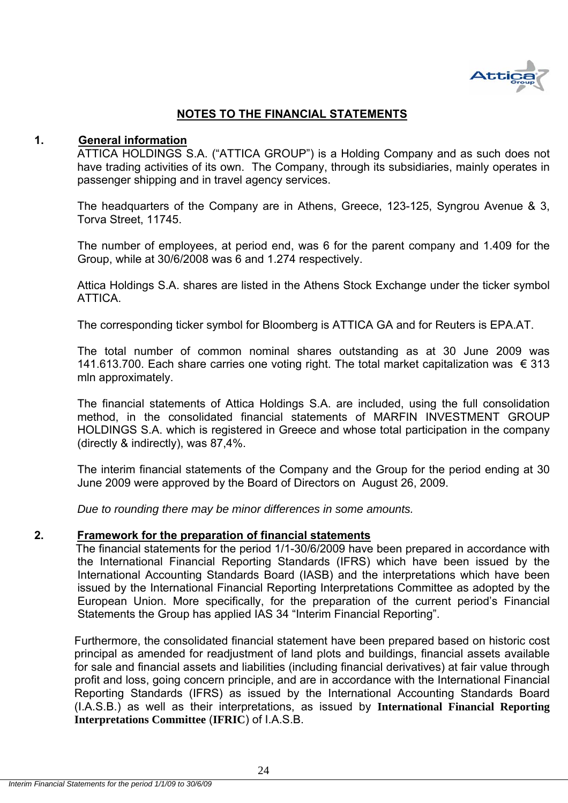

## **NOTES TO THE FINANCIAL STATEMENTS**

#### **1. General information**

ATTICA HOLDINGS S.A. ("ATTICA GROUP") is a Holding Company and as such does not have trading activities of its own. The Company, through its subsidiaries, mainly operates in passenger shipping and in travel agency services.

The headquarters of the Company are in Athens, Greece, 123-125, Syngrou Avenue & 3, Torva Street, 11745.

The number of employees, at period end, was 6 for the parent company and 1.409 for the Group, while at 30/6/2008 was 6 and 1.274 respectively.

Attica Holdings S.A. shares are listed in the Athens Stock Exchange under the ticker symbol **ATTICA** 

The corresponding ticker symbol for Bloomberg is ATTICA GA and for Reuters is EPA.AT.

The total number of common nominal shares outstanding as at 30 June 2009 was 141.613.700. Each share carries one voting right. The total market capitalization was € 313 mln approximately.

The financial statements of Attica Holdings S.A. are included, using the full consolidation method, in the consolidated financial statements of MARFIN INVESTMENT GROUP HOLDINGS S.A. which is registered in Greece and whose total participation in the company (directly & indirectly), was 87,4%.

The interim financial statements of the Company and the Group for the period ending at 30 June 2009 were approved by the Board of Directors on August 26, 2009.

*Due to rounding there may be minor differences in some amounts.* 

#### **2. Framework for the preparation of financial statements**

 The financial statements for the period 1/1-30/6/2009 have been prepared in accordance with the International Financial Reporting Standards (IFRS) which have been issued by the International Accounting Standards Board (IASB) and the interpretations which have been issued by the International Financial Reporting Interpretations Committee as adopted by the European Union. More specifically, for the preparation of the current period's Financial Statements the Group has applied IAS 34 "Interim Financial Reporting".

Furthermore, the consolidated financial statement have been prepared based on historic cost principal as amended for readjustment of land plots and buildings, financial assets available for sale and financial assets and liabilities (including financial derivatives) at fair value through profit and loss, going concern principle, and are in accordance with the International Financial Reporting Standards (IFRS) as issued by the International Accounting Standards Board (I.A.S.B.) as well as their interpretations, as issued by **International Financial Reporting Interpretations Committee** (**IFRIC**) of I.A.S.B.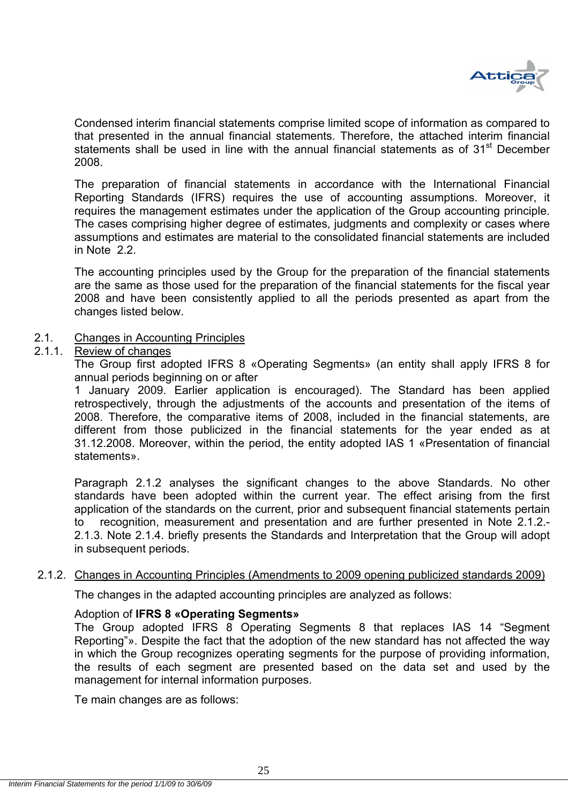

Condensed interim financial statements comprise limited scope of information as compared to that presented in the annual financial statements. Therefore, the attached interim financial statements shall be used in line with the annual financial statements as of 31<sup>st</sup> December 2008.

The preparation of financial statements in accordance with the International Financial Reporting Standards (IFRS) requires the use of accounting assumptions. Moreover, it requires the management estimates under the application of the Group accounting principle. The cases comprising higher degree of estimates, judgments and complexity or cases where assumptions and estimates are material to the consolidated financial statements are included in Note 2.2.

The accounting principles used by the Group for the preparation of the financial statements are the same as those used for the preparation of the financial statements for the fiscal year 2008 and have been consistently applied to all the periods presented as apart from the changes listed below.

#### 2.1. Changes in Accounting Principles

#### 2.1.1. Review of changes

The Group first adopted IFRS 8 «Operating Segments» (an entity shall apply IFRS 8 for annual periods beginning on or after

1 January 2009. Earlier application is encouraged). The Standard has been applied retrospectively, through the adjustments of the accounts and presentation of the items of 2008. Therefore, the comparative items of 2008, included in the financial statements, are different from those publicized in the financial statements for the year ended as at 31.12.2008. Moreover, within the period, the entity adopted IAS 1 «Presentation of financial statements».

Paragraph 2.1.2 analyses the significant changes to the above Standards. No other standards have been adopted within the current year. The effect arising from the first application of the standards on the current, prior and subsequent financial statements pertain to recognition, measurement and presentation and are further presented in Note 2.1.2.- 2.1.3. Note 2.1.4. briefly presents the Standards and Interpretation that the Group will adopt in subsequent periods.

#### 2.1.2. Changes in Accounting Principles (Amendments to 2009 opening publicized standards 2009)

The changes in the adapted accounting principles are analyzed as follows:

#### Adoption of **IFRS 8 «Operating Segments»**

The Group adopted IFRS 8 Operating Segments 8 that replaces IAS 14 "Segment Reporting"». Despite the fact that the adoption of the new standard has not affected the way in which the Group recognizes operating segments for the purpose of providing information, the results of each segment are presented based on the data set and used by the management for internal information purposes.

Te main changes are as follows: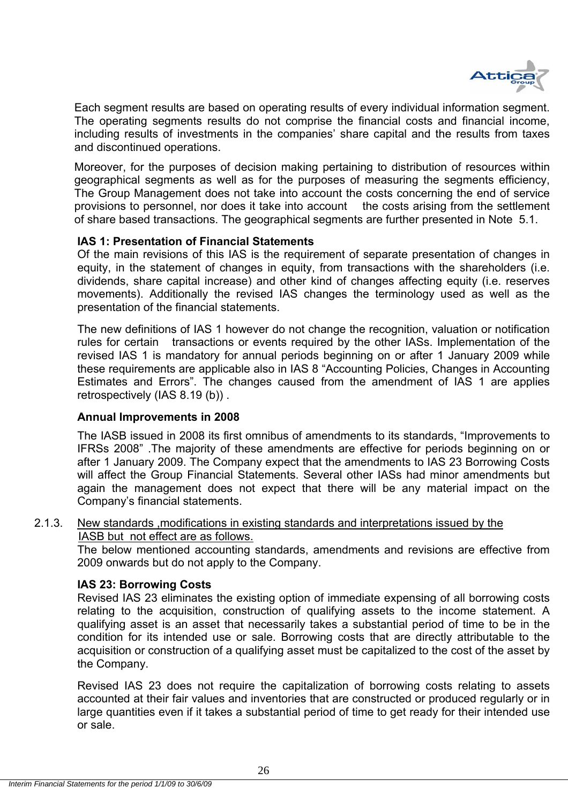

Each segment results are based on operating results of every individual information segment. The operating segments results do not comprise the financial costs and financial income, including results of investments in the companies' share capital and the results from taxes and discontinued operations.

Moreover, for the purposes of decision making pertaining to distribution of resources within geographical segments as well as for the purposes of measuring the segments efficiency, The Group Management does not take into account the costs concerning the end of service provisions to personnel, nor does it take into account the costs arising from the settlement of share based transactions. The geographical segments are further presented in Note 5.1.

#### **IAS 1: Presentation of Financial Statements**

Of the main revisions of this IAS is the requirement of separate presentation of changes in equity, in the statement of changes in equity, from transactions with the shareholders (i.e. dividends, share capital increase) and other kind of changes affecting equity (i.e. reserves movements). Additionally the revised IAS changes the terminology used as well as the presentation of the financial statements.

The new definitions of IAS 1 however do not change the recognition, valuation or notification rules for certain transactions or events required by the other IASs. Implementation of the revised IAS 1 is mandatory for annual periods beginning on or after 1 January 2009 while these requirements are applicable also in IAS 8 "Accounting Policies, Changes in Accounting Estimates and Errors". The changes caused from the amendment of IAS 1 are applies retrospectively (IAS 8.19 (b)) .

#### **Annual Improvements in 2008**

The IASB issued in 2008 its first omnibus of amendments to its standards, "Improvements to IFRSs 2008" .The majority of these amendments are effective for periods beginning on or after 1 January 2009. The Company expect that the amendments to IAS 23 Borrowing Costs will affect the Group Financial Statements. Several other IASs had minor amendments but again the management does not expect that there will be any material impact on the Company's financial statements.

#### 2.1.3. New standards ,modifications in existing standards and interpretations issued by the IASB but not effect are as follows.

The below mentioned accounting standards, amendments and revisions are effective from 2009 onwards but do not apply to the Company.

#### **IAS 23: Borrowing Costs**

Revised IAS 23 eliminates the existing option of immediate expensing of all borrowing costs relating to the acquisition, construction of qualifying assets to the income statement. A qualifying asset is an asset that necessarily takes a substantial period of time to be in the condition for its intended use or sale. Borrowing costs that are directly attributable to the acquisition or construction of a qualifying asset must be capitalized to the cost of the asset by the Company.

Revised IAS 23 does not require the capitalization of borrowing costs relating to assets accounted at their fair values and inventories that are constructed or produced regularly or in large quantities even if it takes a substantial period of time to get ready for their intended use or sale.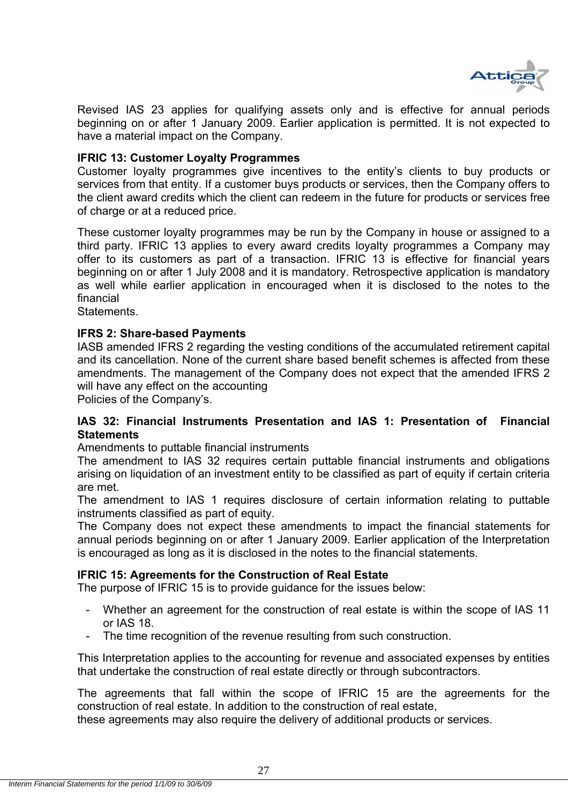

Revised IAS 23 applies for qualifying assets only and is effective for annual periods beginning on or after 1 January 2009. Earlier application is permitted. It is not expected to have a material impact on the Company.

#### **IFRIC 13: Customer Loyalty Programmes**

Customer loyalty programmes give incentives to the entity's clients to buy products or services from that entity. If a customer buys products or services, then the Company offers to the client award credits which the client can redeem in the future for products or services free of charge or at a reduced price.

These customer loyalty programmes may be run by the Company in house or assigned to a third party. IFRIC 13 applies to every award credits loyalty programmes a Company may offer to its customers as part of a transaction. IFRIC 13 is effective for financial years beginning on or after 1 July 2008 and it is mandatory. Retrospective application is mandatory as well while earlier application in encouraged when it is disclosed to the notes to the financial

**Statements** 

#### **IFRS 2: Share-based Payments**

IASB amended IFRS 2 regarding the vesting conditions of the accumulated retirement capital and its cancellation. None of the current share based benefit schemes is affected from these amendments. The management of the Company does not expect that the amended IFRS 2 will have any effect on the accounting

Policies of the Company's.

#### **IAS 32: Financial Instruments Presentation and IAS 1: Presentation of Financial Statements**

Amendments to puttable financial instruments

The amendment to IAS 32 requires certain puttable financial instruments and obligations arising on liquidation of an investment entity to be classified as part of equity if certain criteria are met.

The amendment to IAS 1 requires disclosure of certain information relating to puttable instruments classified as part of equity.

The Company does not expect these amendments to impact the financial statements for annual periods beginning on or after 1 January 2009. Earlier application of the Interpretation is encouraged as long as it is disclosed in the notes to the financial statements.

#### **IFRIC 15: Agreements for the Construction of Real Estate**

The purpose of IFRIC 15 is to provide guidance for the issues below:

- Whether an agreement for the construction of real estate is within the scope of IAS 11 or IAS 18.
- The time recognition of the revenue resulting from such construction.

This Interpretation applies to the accounting for revenue and associated expenses by entities that undertake the construction of real estate directly or through subcontractors.

The agreements that fall within the scope of IFRIC 15 are the agreements for the construction of real estate. In addition to the construction of real estate,

these agreements may also require the delivery of additional products or services.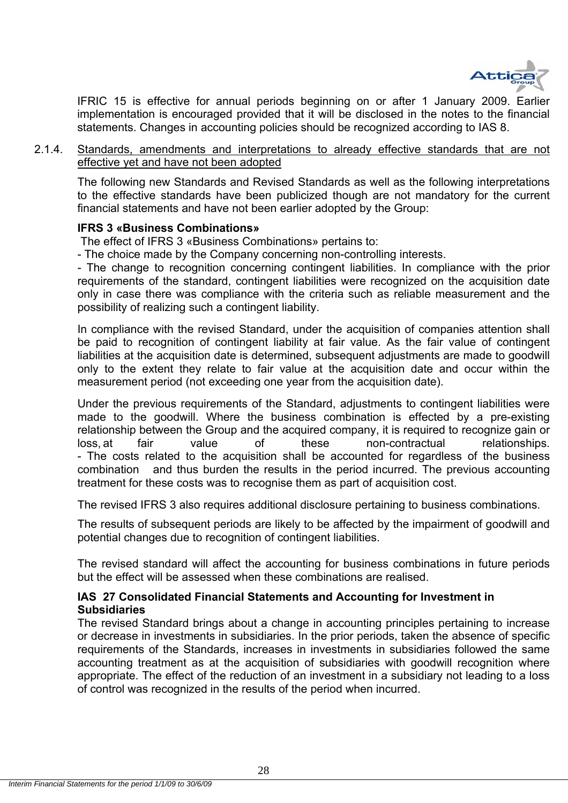

IFRIC 15 is effective for annual periods beginning on or after 1 January 2009. Earlier implementation is encouraged provided that it will be disclosed in the notes to the financial statements. Changes in accounting policies should be recognized according to IAS 8.

2.1.4. Standards, amendments and interpretations to already effective standards that are not effective yet and have not been adopted

The following new Standards and Revised Standards as well as the following interpretations to the effective standards have been publicized though are not mandatory for the current financial statements and have not been earlier adopted by the Group:

#### **IFRS 3 «Business Combinations»**

The effect of IFRS 3 «Business Combinations» pertains to:

- The choice made by the Company concerning non-controlling interests.

- The change to recognition concerning contingent liabilities. In compliance with the prior requirements of the standard, contingent liabilities were recognized on the acquisition date only in case there was compliance with the criteria such as reliable measurement and the possibility of realizing such a contingent liability.

In compliance with the revised Standard, under the acquisition of companies attention shall be paid to recognition of contingent liability at fair value. As the fair value of contingent liabilities at the acquisition date is determined, subsequent adjustments are made to goodwill only to the extent they relate to fair value at the acquisition date and occur within the measurement period (not exceeding one year from the acquisition date).

Under the previous requirements of the Standard, adjustments to contingent liabilities were made to the goodwill. Where the business combination is effected by a pre-existing relationship between the Group and the acquired company, it is required to recognize gain or loss, at fair value of these non-contractual relationships. - The costs related to the acquisition shall be accounted for regardless of the business combination and thus burden the results in the period incurred. The previous accounting treatment for these costs was to recognise them as part of acquisition cost.

The revised IFRS 3 also requires additional disclosure pertaining to business combinations.

The results of subsequent periods are likely to be affected by the impairment of goodwill and potential changes due to recognition of contingent liabilities.

The revised standard will affect the accounting for business combinations in future periods but the effect will be assessed when these combinations are realised.

#### **IAS 27 Consolidated Financial Statements and Accounting for Investment in Subsidiaries**

The revised Standard brings about a change in accounting principles pertaining to increase or decrease in investments in subsidiaries. In the prior periods, taken the absence of specific requirements of the Standards, increases in investments in subsidiaries followed the same accounting treatment as at the acquisition of subsidiaries with goodwill recognition where appropriate. The effect of the reduction of an investment in a subsidiary not leading to a loss of control was recognized in the results of the period when incurred.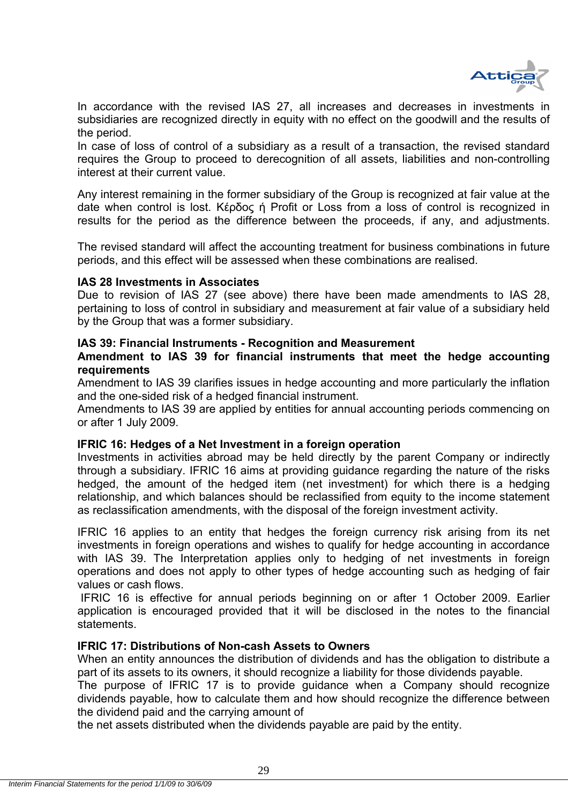

In accordance with the revised IAS 27, all increases and decreases in investments in subsidiaries are recognized directly in equity with no effect on the goodwill and the results of the period.

In case of loss of control of a subsidiary as a result of a transaction, the revised standard requires the Group to proceed to derecognition of all assets, liabilities and non-controlling interest at their current value.

Any interest remaining in the former subsidiary of the Group is recognized at fair value at the date when control is lost. Κέρδος ή Profit or Loss from a loss of control is recognized in results for the period as the difference between the proceeds, if any, and adjustments.

The revised standard will affect the accounting treatment for business combinations in future periods, and this effect will be assessed when these combinations are realised.

#### **IAS 28 Investments in Associates**

Due to revision of IAS 27 (see above) there have been made amendments to IAS 28, pertaining to loss of control in subsidiary and measurement at fair value of a subsidiary held by the Group that was a former subsidiary.

#### **IAS 39: Financial Instruments - Recognition and Measurement**

#### **Amendment to IAS 39 for financial instruments that meet the hedge accounting requirements**

Amendment to IAS 39 clarifies issues in hedge accounting and more particularly the inflation and the one-sided risk of a hedged financial instrument.

Amendments to IAS 39 are applied by entities for annual accounting periods commencing on or after 1 July 2009.

#### **IFRIC 16: Hedges of a Net Investment in a foreign operation**

Investments in activities abroad may be held directly by the parent Company or indirectly through a subsidiary. IFRIC 16 aims at providing guidance regarding the nature of the risks hedged, the amount of the hedged item (net investment) for which there is a hedging relationship, and which balances should be reclassified from equity to the income statement as reclassification amendments, with the disposal of the foreign investment activity.

IFRIC 16 applies to an entity that hedges the foreign currency risk arising from its net investments in foreign operations and wishes to qualify for hedge accounting in accordance with IAS 39. The Interpretation applies only to hedging of net investments in foreign operations and does not apply to other types of hedge accounting such as hedging of fair values or cash flows.

 IFRIC 16 is effective for annual periods beginning on or after 1 October 2009. Earlier application is encouraged provided that it will be disclosed in the notes to the financial statements.

#### **IFRIC 17: Distributions of Non-cash Assets to Owners**

When an entity announces the distribution of dividends and has the obligation to distribute a part of its assets to its owners, it should recognize a liability for those dividends payable.

The purpose of IFRIC 17 is to provide guidance when a Company should recognize dividends payable, how to calculate them and how should recognize the difference between the dividend paid and the carrying amount of

the net assets distributed when the dividends payable are paid by the entity.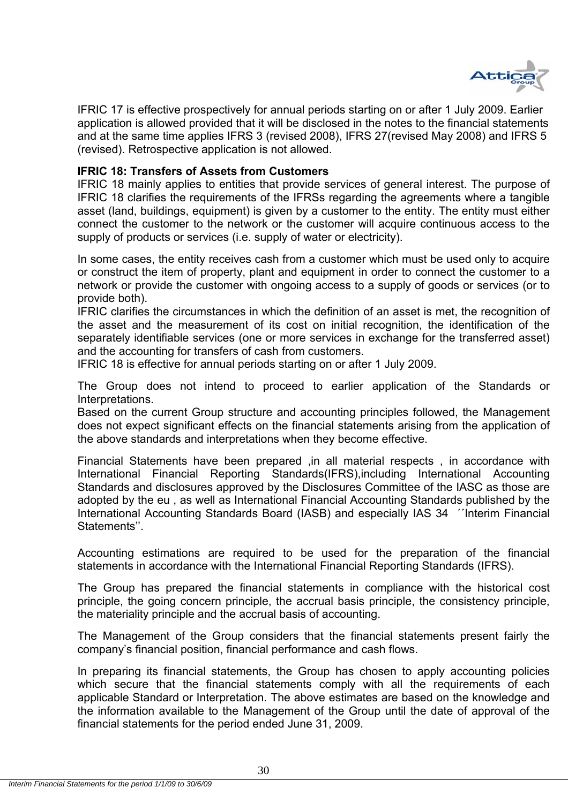

IFRIC 17 is effective prospectively for annual periods starting on or after 1 July 2009. Earlier application is allowed provided that it will be disclosed in the notes to the financial statements and at the same time applies IFRS 3 (revised 2008), IFRS 27(revised May 2008) and IFRS 5 (revised). Retrospective application is not allowed.

#### **IFRIC 18: Transfers of Assets from Customers**

IFRIC 18 mainly applies to entities that provide services of general interest. The purpose of IFRIC 18 clarifies the requirements of the IFRSs regarding the agreements where a tangible asset (land, buildings, equipment) is given by a customer to the entity. The entity must either connect the customer to the network or the customer will acquire continuous access to the supply of products or services (i.e. supply of water or electricity).

In some cases, the entity receives cash from a customer which must be used only to acquire or construct the item of property, plant and equipment in order to connect the customer to a network or provide the customer with ongoing access to a supply of goods or services (or to provide both).

IFRIC clarifies the circumstances in which the definition of an asset is met, the recognition of the asset and the measurement of its cost on initial recognition, the identification of the separately identifiable services (one or more services in exchange for the transferred asset) and the accounting for transfers of cash from customers.

IFRIC 18 is effective for annual periods starting on or after 1 July 2009.

The Group does not intend to proceed to earlier application of the Standards or Interpretations.

Based on the current Group structure and accounting principles followed, the Management does not expect significant effects on the financial statements arising from the application of the above standards and interpretations when they become effective.

Financial Statements have been prepared ,in all material respects , in accordance with International Financial Reporting Standards(IFRS),including International Accounting Standards and disclosures approved by the Disclosures Committee of the IASC as those are adopted by the eu , as well as International Financial Accounting Standards published by the International Accounting Standards Board (IASB) and especially IAS 34 ΄΄Interim Financial Statements''.

Accounting estimations are required to be used for the preparation of the financial statements in accordance with the International Financial Reporting Standards (IFRS).

The Group has prepared the financial statements in compliance with the historical cost principle, the going concern principle, the accrual basis principle, the consistency principle, the materiality principle and the accrual basis of accounting.

The Management of the Group considers that the financial statements present fairly the company's financial position, financial performance and cash flows.

In preparing its financial statements, the Group has chosen to apply accounting policies which secure that the financial statements comply with all the requirements of each applicable Standard or Interpretation. The above estimates are based οn the knowledge and the information available to the Management of the Group until the date of approval of the financial statements for the period ended June 31, 2009.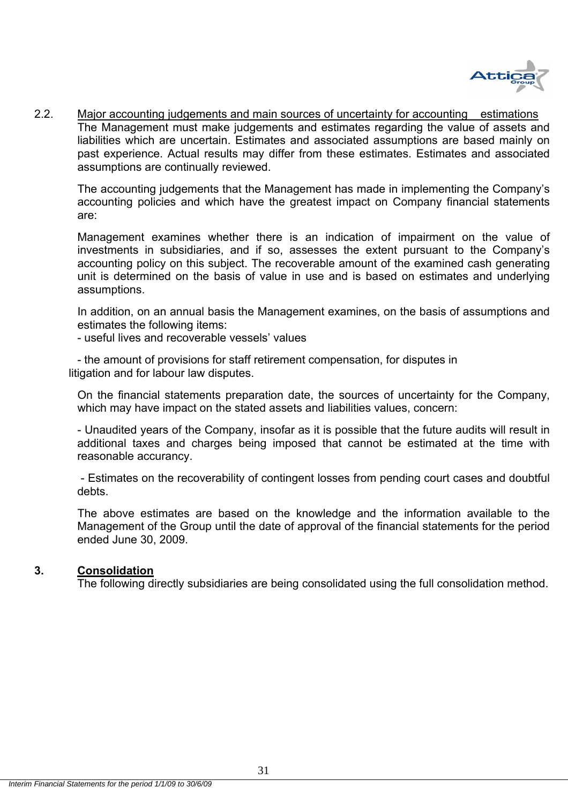

2.2. Major accounting judgements and main sources of uncertainty for accounting estimations The Management must make judgements and estimates regarding the value of assets and liabilities which are uncertain. Estimates and associated assumptions are based mainly on past experience. Actual results may differ from these estimates. Estimates and associated assumptions are continually reviewed.

The accounting judgements that the Management has made in implementing the Company's accounting policies and which have the greatest impact on Company financial statements are:

Management examines whether there is an indication of impairment on the value of investments in subsidiaries, and if so, assesses the extent pursuant to the Company's accounting policy on this subject. The recoverable amount of the examined cash generating unit is determined on the basis of value in use and is based on estimates and underlying assumptions.

In addition, on an annual basis the Management examines, on the basis of assumptions and estimates the following items:

- useful lives and recoverable vessels' values

- the amount of provisions for staff retirement compensation, for disputes in litigation and for labour law disputes.

On the financial statements preparation date, the sources of uncertainty for the Company, which may have impact on the stated assets and liabilities values, concern:

- Unaudited years of the Company, insofar as it is possible that the future audits will result in additional taxes and charges being imposed that cannot be estimated at the time with reasonable accurancy.

 - Estimates on the recoverability of contingent losses from pending court cases and doubtful debts.

The above estimates are based οn the knowledge and the information available to the Management of the Group until the date of approval of the financial statements for the period ended June 30, 2009.

#### **3. Consolidation**

The following directly subsidiaries are being consolidated using the full consolidation method.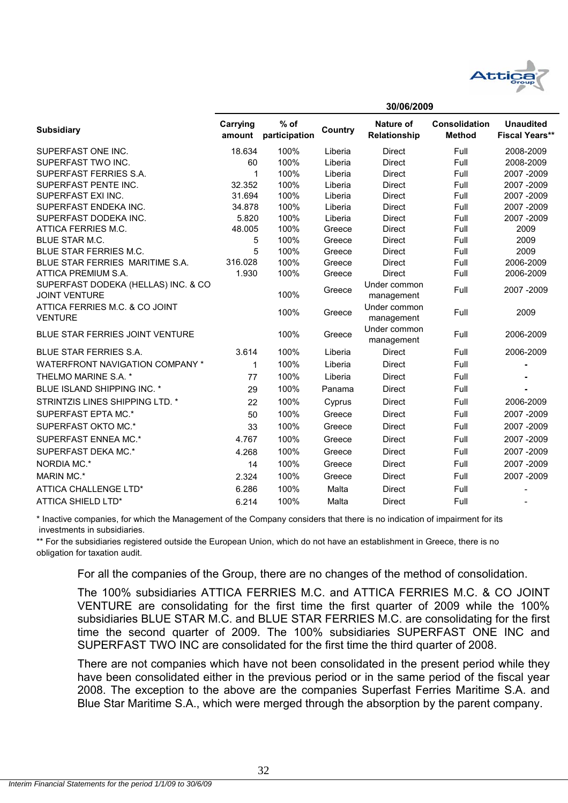

**30/06/2009**

|                                                             |                    |                         |         | ວບ/ບບ/∠ບບ <i>ວ</i>         |                                       |                                           |
|-------------------------------------------------------------|--------------------|-------------------------|---------|----------------------------|---------------------------------------|-------------------------------------------|
| <b>Subsidiary</b>                                           | Carrying<br>amount | $%$ of<br>participation | Country | Nature of<br>Relationship  | <b>Consolidation</b><br><b>Method</b> | <b>Unaudited</b><br><b>Fiscal Years**</b> |
| SUPERFAST ONE INC.                                          | 18.634             | 100%                    | Liberia | Direct                     | Full                                  | 2008-2009                                 |
| SUPERFAST TWO INC.                                          | 60                 | 100%                    | Liberia | <b>Direct</b>              | Full                                  | 2008-2009                                 |
| SUPERFAST FERRIES S.A.                                      | 1                  | 100%                    | Liberia | <b>Direct</b>              | Full                                  | 2007 - 2009                               |
| SUPERFAST PENTE INC.                                        | 32.352             | 100%                    | Liberia | <b>Direct</b>              | Full                                  | 2007 - 2009                               |
| SUPERFAST EXI INC.                                          | 31.694             | 100%                    | Liberia | <b>Direct</b>              | Full                                  | 2007 - 2009                               |
| SUPERFAST ENDEKA INC.                                       | 34.878             | 100%                    | Liberia | <b>Direct</b>              | Full                                  | 2007 - 2009                               |
| SUPERFAST DODEKA INC.                                       | 5.820              | 100%                    | Liberia | <b>Direct</b>              | Full                                  | 2007 - 2009                               |
| ATTICA FERRIES M.C.                                         | 48.005             | 100%                    | Greece  | <b>Direct</b>              | Full                                  | 2009                                      |
| <b>BLUE STAR M.C.</b>                                       | 5                  | 100%                    | Greece  | Direct                     | Full                                  | 2009                                      |
| BLUE STAR FERRIES M.C.                                      | 5                  | 100%                    | Greece  | Direct                     | Full                                  | 2009                                      |
| BLUE STAR FERRIES MARITIME S.A.                             | 316.028            | 100%                    | Greece  | <b>Direct</b>              | Full                                  | 2006-2009                                 |
| ATTICA PREMIUM S.A.                                         | 1.930              | 100%                    | Greece  | <b>Direct</b>              | Full                                  | 2006-2009                                 |
| SUPERFAST DODEKA (HELLAS) INC. & CO<br><b>JOINT VENTURE</b> |                    | 100%                    | Greece  | Under common<br>management | Full                                  | 2007-2009                                 |
| ATTICA FERRIES M.C. & CO JOINT<br><b>VENTURE</b>            |                    | 100%                    | Greece  | Under common<br>management | Full                                  | 2009                                      |
| <b>BLUE STAR FERRIES JOINT VENTURE</b>                      |                    | 100%                    | Greece  | Under common<br>management | Full                                  | 2006-2009                                 |
| <b>BLUE STAR FERRIES S.A.</b>                               | 3.614              | 100%                    | Liberia | Direct                     | Full                                  | 2006-2009                                 |
| WATERFRONT NAVIGATION COMPANY *                             | 1                  | 100%                    | Liberia | <b>Direct</b>              | Full                                  |                                           |
| THELMO MARINE S.A. *                                        | 77                 | 100%                    | Liberia | Direct                     | Full                                  |                                           |
| BLUE ISLAND SHIPPING INC. *                                 | 29                 | 100%                    | Panama  | <b>Direct</b>              | Full                                  |                                           |
| STRINTZIS LINES SHIPPING LTD. *                             | 22                 | 100%                    | Cyprus  | Direct                     | Full                                  | 2006-2009                                 |
| SUPERFAST EPTA MC.*                                         | 50                 | 100%                    | Greece  | <b>Direct</b>              | Full                                  | 2007-2009                                 |
| SUPERFAST OKTO MC.*                                         | 33                 | 100%                    | Greece  | <b>Direct</b>              | Full                                  | 2007 - 2009                               |
| SUPERFAST ENNEA MC.*                                        | 4.767              | 100%                    | Greece  | Direct                     | Full                                  | 2007 - 2009                               |
| SUPERFAST DEKA MC.*                                         | 4.268              | 100%                    | Greece  | <b>Direct</b>              | Full                                  | 2007 - 2009                               |
| NORDIA MC.*                                                 | 14                 | 100%                    | Greece  | Direct                     | Full                                  | 2007 - 2009                               |
| <b>MARIN MC.*</b>                                           | 2.324              | 100%                    | Greece  | <b>Direct</b>              | Full                                  | 2007 - 2009                               |
| ATTICA CHALLENGE LTD*                                       | 6.286              | 100%                    | Malta   | Direct                     | Full                                  |                                           |
| ATTICA SHIELD LTD*                                          | 6.214              | 100%                    | Malta   | <b>Direct</b>              | Full                                  |                                           |

 investments in subsidiaries. \* Inactive companies, for which the Management of the Company considers that there is no indication of impairment for its

\*\* For the subsidiaries registered outside the European Union, which do not have an establishment in Greece, there is no obligation for taxation audit.

For all the companies of the Group, there are no changes of the method of consolidation.

The 100% subsidiaries ATTICA FERRIES M.C. and ATTICA FERRIES M.C. & CO JOINT VENTURE are consolidating for the first time the first quarter of 2009 while the 100% subsidiaries BLUE STAR M.C. and BLUE STAR FERRIES M.C. are consolidating for the first time the second quarter of 2009. The 100% subsidiaries SUPERFAST ONE INC and SUPERFAST TWO INC are consolidated for the first time the third quarter of 2008.

There are not companies which have not been consolidated in the present period while they have been consolidated either in the previous period or in the same period of the fiscal year 2008. The exception to the above are the companies Superfast Ferries Maritime S.A. and Blue Star Maritime S.A., which were merged through the absorption by the parent company.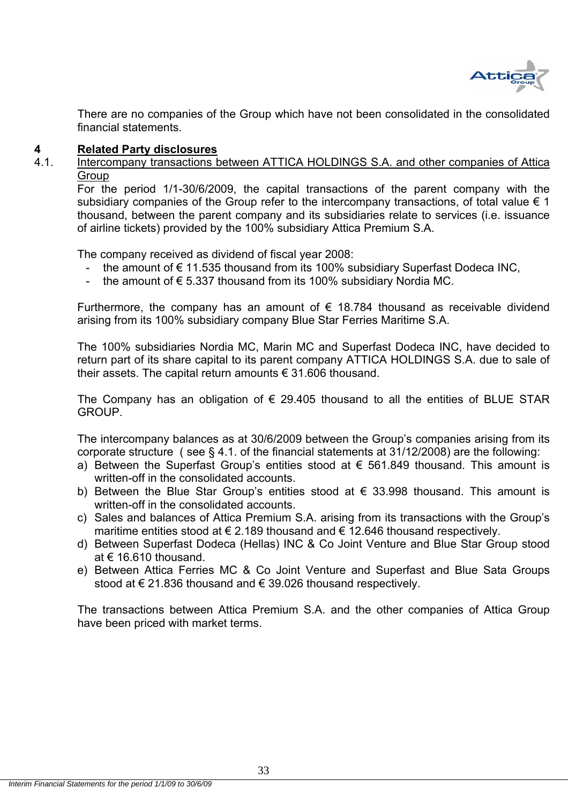

There are no companies of the Group which have not been consolidated in the consolidated financial statements.

# **4 Related Party disclosures**<br>4.1 **Intercompany transactions b**

Intercompany transactions between ATTICA HOLDINGS S.A. and other companies of Attica **Group** 

For the period 1/1-30/6/2009, the capital transactions of the parent company with the subsidiary companies of the Group refer to the intercompany transactions, of total value  $\epsilon$  1 thousand, between the parent company and its subsidiaries relate to services (i.e. issuance of airline tickets) provided by the 100% subsidiary Attica Premium S.A.

The company received as dividend of fiscal year 2008:

- the amount of  $€ 11.535$  thousand from its 100% subsidiary Superfast Dodeca INC,
- the amount of  $\epsilon$  5.337 thousand from its 100% subsidiary Nordia MC.

Furthermore, the company has an amount of  $\epsilon$  18.784 thousand as receivable dividend arising from its 100% subsidiary company Blue Star Ferries Maritime S.A.

The 100% subsidiaries Nordia MC, Marin MC and Superfast Dodeca INC, have decided to return part of its share capital to its parent company ATTICA HOLDINGS S.A. due to sale of their assets. The capital return amounts € 31.606 thousand.

The Company has an obligation of  $\epsilon$  29.405 thousand to all the entities of BLUE STAR GROUP.

The intercompany balances as at 30/6/2009 between the Group's companies arising from its corporate structure ( see § 4.1. of the financial statements at 31/12/2008) are the following:

- a) Between the Superfast Group's entities stood at  $\epsilon$  561.849 thousand. This amount is written-off in the consolidated accounts.
- b) Between the Blue Star Group's entities stood at  $\epsilon$  33.998 thousand. This amount is written-off in the consolidated accounts.
- c) Sales and balances of Attica Premium S.A. arising from its transactions with the Group's maritime entities stood at  $\epsilon$  2.189 thousand and  $\epsilon$  12.646 thousand respectively.
- d) Between Superfast Dodeca (Hellas) INC & Co Joint Venture and Blue Star Group stood at € 16.610 thousand.
- e) Between Attica Ferries MC & Co Joint Venture and Superfast and Blue Sata Groups stood at € 21.836 thousand and € 39.026 thousand respectively.

The transactions between Attica Premium S.A. and the other companies of Attica Group have been priced with market terms.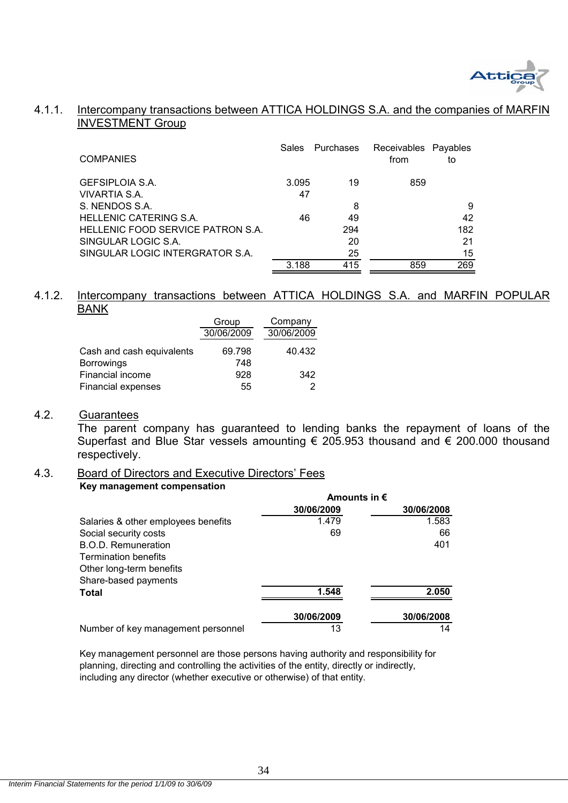

#### 4.1.1. Intercompany transactions between ATTICA HOLDINGS S.A. and the companies of MARFII INVESTMENT Group

| <b>COMPANIES</b>                  | Sales | Purchases | Receivables Payables<br>from | to  |
|-----------------------------------|-------|-----------|------------------------------|-----|
| GEFSIPLOIA S.A.                   | 3.095 | 19        | 859                          |     |
| VIVARTIA S.A.                     | 47    |           |                              |     |
| S. NENDOS S.A.                    |       | 8         |                              | 9   |
| HELLENIC CATERING S.A.            | 46    | 49        |                              | 42  |
| HELLENIC FOOD SERVICE PATRON S.A. |       | 294       |                              | 182 |
| SINGULAR LOGIC S.A.               |       | 20        |                              | 21  |
| SINGULAR LOGIC INTERGRATOR S.A.   |       | 25        |                              | 15  |
|                                   | 3.188 | 415       | 859                          | 269 |

#### 4.1.2. Intercompany transactions between ATTICA HOLDINGS S.A. and MARFIN POPULAR BANK

|                                       | Group         | Company    |
|---------------------------------------|---------------|------------|
|                                       | 30/06/2009    | 30/06/2009 |
| Cash and cash equivalents             | 69.798<br>748 | 40.432     |
| <b>Borrowings</b><br>Financial income | 928           | 342        |
| <b>Financial expenses</b>             | 55            |            |

#### 4.2. Guarantees

 The parent company has guaranteed to lending banks the repayment of loans of the Superfast and Blue Star vessels amounting € 205.953 thousand and € 200.000 thousand respectively.

## 4.3. Board of Directors and Executive Directors' Fees

#### **Key management compensation**

|                                     | Amounts in $\epsilon$ |            |  |
|-------------------------------------|-----------------------|------------|--|
|                                     | 30/06/2009            | 30/06/2008 |  |
| Salaries & other employees benefits | 1.479                 | 1.583      |  |
| Social security costs               | 69                    | 66         |  |
| B.O.D. Remuneration                 |                       | 401        |  |
| <b>Termination benefits</b>         |                       |            |  |
| Other long-term benefits            |                       |            |  |
| Share-based payments                |                       |            |  |
| Total                               | 1.548                 | 2.050      |  |
|                                     | 30/06/2009            | 30/06/2008 |  |
| Number of key management personnel  | 13                    | 14         |  |

Key management personnel are those persons having authority and responsibility for planning, directing and controlling the activities of the entity, directly or indirectly, including any director (whether executive or otherwise) of that entity.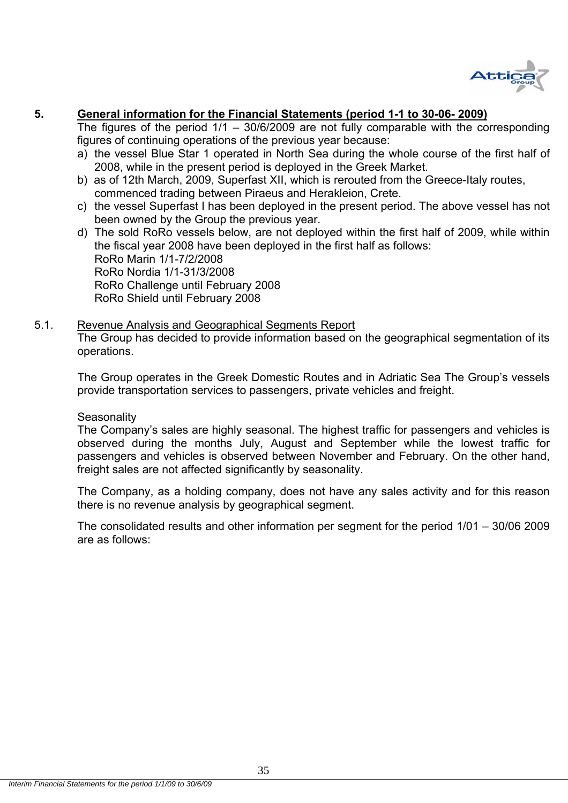

## **5. General information for the Financial Statements (period 1-1 to 30-06- 2009)**

The figures of the period  $1/1 - 30/6/2009$  are not fully comparable with the corresponding figures of continuing operations of the previous year because:

- a) the vessel Blue Star 1 operated in North Sea during the whole course of the first half of 2008, while in the present period is deployed in the Greek Market.
- b) as of 12th March, 2009, Superfast XII, which is rerouted from the Greece-Italy routes, commenced trading between Piraeus and Herakleion, Crete.
- c) the vessel Superfast I has been deployed in the present period. The above vessel has not been owned by the Group the previous year.
- d) The sold RoRo vessels below, are not deployed within the first half of 2009, while within the fiscal year 2008 have been deployed in the first half as follows: RoRo Marin 1/1-7/2/2008 RoRo Nordia 1/1-31/3/2008 RoRo Challenge until February 2008 RoRo Shield until February 2008

# 5.1. Revenue Analysis and Geographical Segments Report

The Group has decided to provide information based on the geographical segmentation of its operations.

The Group operates in the Greek Domestic Routes and in Adriatic Sea The Group's vessels provide transportation services to passengers, private vehicles and freight.

#### **Seasonality**

The Company's sales are highly seasonal. The highest traffic for passengers and vehicles is observed during the months July, August and September while the lowest traffic for passengers and vehicles is observed between November and February. On the other hand, freight sales are not affected significantly by seasonality.

The Company, as a holding company, does not have any sales activity and for this reason there is no revenue analysis by geographical segment.

The consolidated results and other information per segment for the period 1/01 – 30/06 2009 are as follows: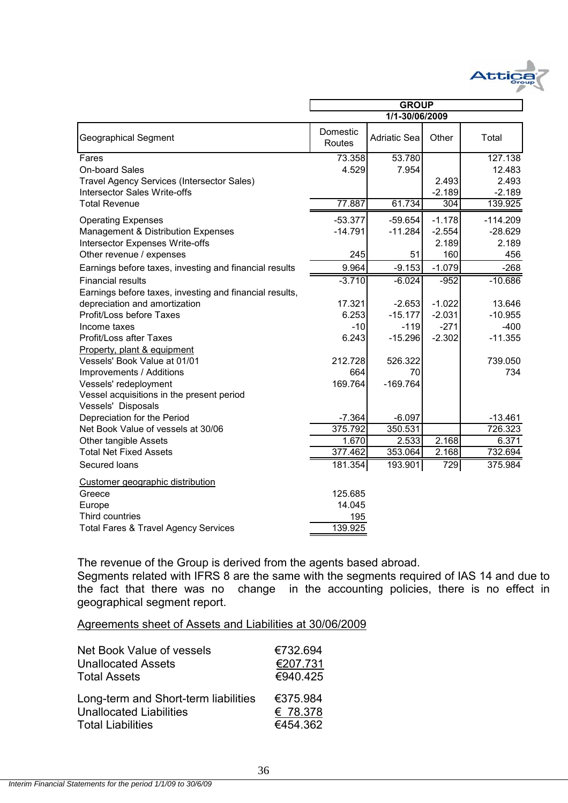

|                                                         | <b>GROUP</b>       |              |          |            |
|---------------------------------------------------------|--------------------|--------------|----------|------------|
|                                                         | 1/1-30/06/2009     |              |          |            |
| <b>Geographical Segment</b>                             | Domestic<br>Routes | Adriatic Sea | Other    | Total      |
| Fares                                                   | 73.358             | 53.780       |          | 127.138    |
| On-board Sales                                          | 4.529              | 7.954        |          | 12.483     |
| <b>Travel Agency Services (Intersector Sales)</b>       |                    |              | 2.493    | 2.493      |
| <b>Intersector Sales Write-offs</b>                     |                    |              | $-2.189$ | $-2.189$   |
| <b>Total Revenue</b>                                    | 77.887             | 61.734       | 304      | 139.925    |
| <b>Operating Expenses</b>                               | $-53.377$          | $-59.654$    | $-1.178$ | $-114.209$ |
| Management & Distribution Expenses                      | $-14.791$          | $-11.284$    | $-2.554$ | $-28.629$  |
| Intersector Expenses Write-offs                         |                    |              | 2.189    | 2.189      |
| Other revenue / expenses                                | 245                | 51           | 160      | 456        |
| Earnings before taxes, investing and financial results  | 9.964              | $-9.153$     | $-1.079$ | $-268$     |
| <b>Financial results</b>                                | $-3.710$           | $-6.024$     | $-952$   | $-10.686$  |
| Earnings before taxes, investing and financial results, |                    |              |          |            |
| depreciation and amortization                           | 17.321             | $-2.653$     | $-1.022$ | 13.646     |
| Profit/Loss before Taxes                                | 6.253              | $-15.177$    | $-2.031$ | $-10.955$  |
| Income taxes                                            | $-10$              | $-119$       | $-271$   | $-400$     |
| Profit/Loss after Taxes                                 | 6.243              | $-15.296$    | $-2.302$ | $-11.355$  |
| Property, plant & equipment                             |                    |              |          |            |
| Vessels' Book Value at 01/01                            | 212.728            | 526.322      |          | 739.050    |
| Improvements / Additions                                | 664                | 70           |          | 734        |
| Vessels' redeployment                                   | 169.764            | $-169.764$   |          |            |
| Vessel acquisitions in the present period               |                    |              |          |            |
| Vessels' Disposals                                      |                    |              |          |            |
| Depreciation for the Period                             | $-7.364$           | $-6.097$     |          | $-13.461$  |
| Net Book Value of vessels at 30/06                      | 375.792            | 350.531      |          | 726.323    |
| Other tangible Assets                                   | 1.670              | 2.533        | 2.168    | 6.371      |
| <b>Total Net Fixed Assets</b>                           | 377.462            | 353.064      | 2.168    | 732.694    |
| Secured loans                                           | 181.354            | 193.901      | 729      | 375.984    |
| Customer geographic distribution                        |                    |              |          |            |
| Greece                                                  | 125.685            |              |          |            |
| Europe                                                  | 14.045             |              |          |            |
| Third countries                                         | 195                |              |          |            |
| <b>Total Fares &amp; Travel Agency Services</b>         | 139.925            |              |          |            |

The revenue of the Group is derived from the agents based abroad.

Segments related with IFRS 8 are the same with the segments required of IAS 14 and due to the fact that there was no change in the accounting policies, there is no effect in geographical segment report.

Agreements sheet of Assets and Liabilities at 30/06/2009

| Net Book Value of vessels            | €732.694 |
|--------------------------------------|----------|
| <b>Unallocated Assets</b>            | €207.731 |
| <b>Total Assets</b>                  | €940.425 |
| Long-term and Short-term liabilities | €375.984 |
| <b>Unallocated Liabilities</b>       | € 78.378 |
| <b>Total Liabilities</b>             | €454.362 |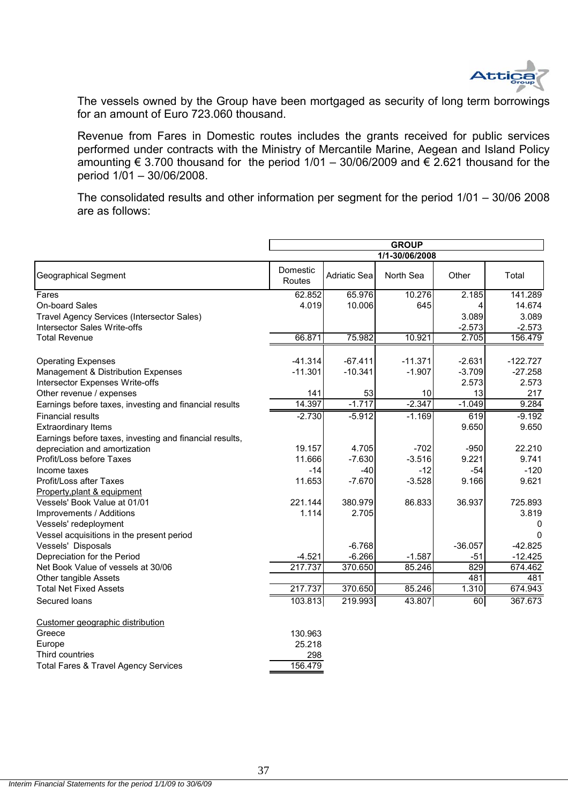

The vessels owned by the Group have been mortgaged as security of long term borrowings for an amount of Euro 723.060 thousand.

Revenue from Fares in Domestic routes includes the grants received for public services performed under contracts with the Ministry of Mercantile Marine, Aegean and Island Policy amounting  $\epsilon$  3.700 thousand for the period 1/01 – 30/06/2009 and  $\epsilon$  2.621 thousand for the period 1/01 – 30/06/2008.

The consolidated results and other information per segment for the period 1/01 – 30/06 2008 are as follows:

|                                                             | <b>GROUP</b>       |                 |                   |                |              |
|-------------------------------------------------------------|--------------------|-----------------|-------------------|----------------|--------------|
|                                                             |                    | 1/1-30/06/2008  |                   |                |              |
| <b>Geographical Segment</b>                                 | Domestic<br>Routes | Adriatic Sea    | North Sea         | Other          | Total        |
| Fares                                                       | 62.852             | 65.976          | 10.276            | 2.185          | 141.289      |
| On-board Sales                                              | 4.019              | 10.006          | 645               |                | 14.674       |
| Travel Agency Services (Intersector Sales)                  |                    |                 |                   | 3.089          | 3.089        |
| <b>Intersector Sales Write-offs</b>                         |                    |                 |                   | $-2.573$       | $-2.573$     |
| <b>Total Revenue</b>                                        | 66.871             | 75.982          | 10.921            | 2.705          | 156.479      |
|                                                             |                    |                 |                   |                |              |
| <b>Operating Expenses</b>                                   | $-41.314$          | $-67.411$       | $-11.371$         | $-2.631$       | $-122.727$   |
| Management & Distribution Expenses                          | $-11.301$          | $-10.341$       | $-1.907$          | $-3.709$       | $-27.258$    |
| Intersector Expenses Write-offs                             |                    |                 | 10                | 2.573          | 2.573        |
| Other revenue / expenses                                    | 141<br>14.397      | 53<br>$-1.717$  | $-2.347$          | 13<br>$-1.049$ | 217<br>9.284 |
| Earnings before taxes, investing and financial results      | $-2.730$           |                 | $-1.169$          |                | $-9.192$     |
| <b>Financial results</b>                                    |                    | $-5.912$        |                   | 619            |              |
| <b>Extraordinary Items</b>                                  |                    |                 |                   | 9.650          | 9.650        |
| Earnings before taxes, investing and financial results,     | 19.157             | 4.705           | $-702$            | $-950$         | 22.210       |
| depreciation and amortization                               |                    | $-7.630$        |                   | 9.221          | 9.741        |
| Profit/Loss before Taxes                                    | 11.666             |                 | $-3.516$          |                | $-120$       |
| Income taxes<br><b>Profit/Loss after Taxes</b>              | $-14$<br>11.653    | -40<br>$-7.670$ | $-12$<br>$-3.528$ | $-54$<br>9.166 | 9.621        |
|                                                             |                    |                 |                   |                |              |
| Property, plant & equipment<br>Vessels' Book Value at 01/01 | 221.144            | 380.979         | 86.833            | 36.937         | 725.893      |
| Improvements / Additions                                    | 1.114              | 2.705           |                   |                | 3.819        |
| Vessels' redeployment                                       |                    |                 |                   |                |              |
| Vessel acquisitions in the present period                   |                    |                 |                   |                | 0            |
| Vessels' Disposals                                          |                    | $-6.768$        |                   | $-36.057$      | $-42.825$    |
| Depreciation for the Period                                 | $-4.521$           | $-6.266$        | $-1.587$          | $-51$          | $-12.425$    |
| Net Book Value of vessels at 30/06                          | 217.737            | 370.650         | 85.246            | 829            | 674.462      |
| Other tangible Assets                                       |                    |                 |                   | 481            | 481          |
| <b>Total Net Fixed Assets</b>                               | 217.737            | 370.650         | 85.246            | 1.310          | 674.943      |
| Secured loans                                               | 103.813            | 219.993         | 43.807            | 60             | 367.673      |
|                                                             |                    |                 |                   |                |              |
| Customer geographic distribution                            |                    |                 |                   |                |              |
| Greece                                                      | 130.963            |                 |                   |                |              |
| Europe                                                      | 25.218             |                 |                   |                |              |
| Third countries                                             | 298                |                 |                   |                |              |
| <b>Total Fares &amp; Travel Agency Services</b>             | 156.479            |                 |                   |                |              |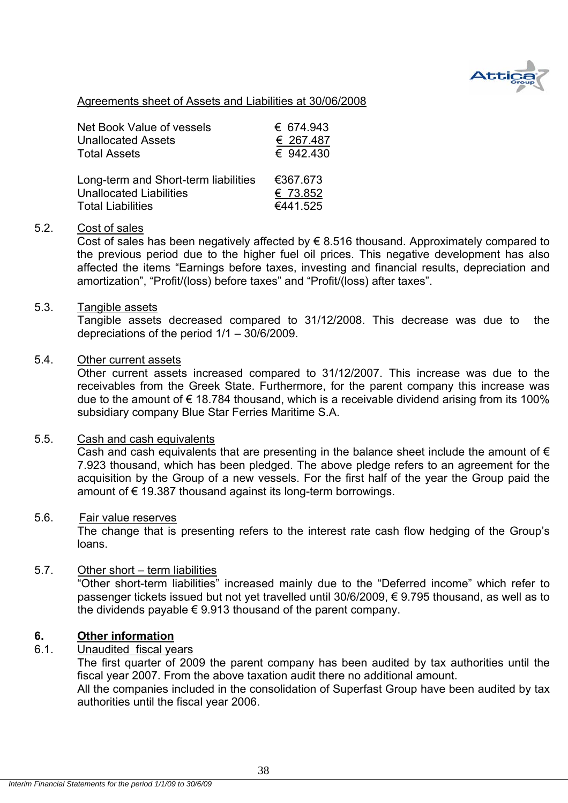

#### Agreements sheet of Assets and Liabilities at 30/06/2008

| Net Book Value of vessels            | € 674.943 |
|--------------------------------------|-----------|
| <b>Unallocated Assets</b>            | € 267.487 |
| <b>Total Assets</b>                  | € 942.430 |
| Long-term and Short-term liabilities | €367.673  |
| <b>Unallocated Liabilities</b>       | € 73.852  |
| <b>Total Liabilities</b>             | €441.525  |

#### 5.2. Cost of sales

Cost of sales has been negatively affected by  $\epsilon$  8.516 thousand. Approximately compared to the previous period due to the higher fuel oil prices. This negative development has also affected the items "Earnings before taxes, investing and financial results, depreciation and amortization", "Profit/(loss) before taxes" and "Profit/(loss) after taxes".

#### 5.3. Tangible assets

Tangible assets decreased compared to 31/12/2008. This decrease was due to the depreciations of the period 1/1 – 30/6/2009.

#### 5.4. Other current assets

Other current assets increased compared to 31/12/2007. This increase was due to the receivables from the Greek State. Furthermore, for the parent company this increase was due to the amount of  $\epsilon$  18.784 thousand, which is a receivable dividend arising from its 100% subsidiary company Blue Star Ferries Maritime S.A.

#### 5.5. Cash and cash equivalents

Cash and cash equivalents that are presenting in the balance sheet include the amount of  $\epsilon$ 7.923 thousand, which has been pledged. The above pledge refers to an agreement for the acquisition by the Group of a new vessels. For the first half of the year the Group paid the amount of € 19.387 thousand against its long-term borrowings.

#### 5.6. Fair value reserves

The change that is presenting refers to the interest rate cash flow hedging of the Group's loans.

#### 5.7. Other short – term liabilities

"Other short-term liabilities" increased mainly due to the "Deferred income" which refer to passenger tickets issued but not yet travelled until 30/6/2009, € 9.795 thousand, as well as to the dividends payable  $\epsilon$  9.913 thousand of the parent company.

#### **6. Other information**

#### 6.1. Unaudited fiscal years

The first quarter of 2009 the parent company has been audited by tax authorities until the fiscal year 2007. From the above taxation audit there no additional amount.

All the companies included in the consolidation of Superfast Group have been audited by tax authorities until the fiscal year 2006.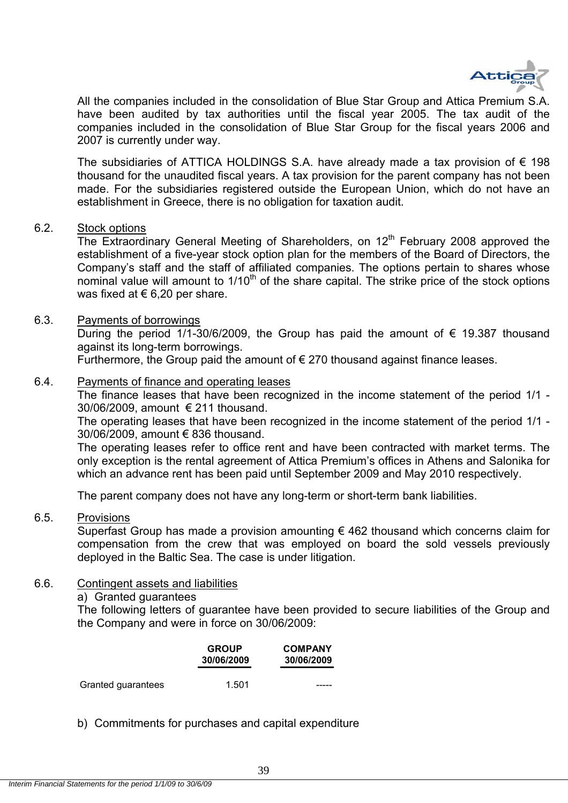

All the companies included in the consolidation of Blue Star Group and Attica Premium S.A. have been audited by tax authorities until the fiscal year 2005. The tax audit of the companies included in the consolidation of Blue Star Group for the fiscal years 2006 and 2007 is currently under way.

The subsidiaries of ATTICA HOLDINGS S.A. have already made a tax provision of  $\epsilon$  198 thousand for the unaudited fiscal years. A tax provision for the parent company has not been made. For the subsidiaries registered outside the European Union, which do not have an establishment in Greece, there is no obligation for taxation audit.

#### 6.2. Stock options

The Extraordinary General Meeting of Shareholders, on 12<sup>th</sup> February 2008 approved the establishment of a five-year stock option plan for the members of the Board of Directors, the Company's staff and the staff of affiliated companies. The options pertain to shares whose nominal value will amount to  $1/10<sup>th</sup>$  of the share capital. The strike price of the stock options was fixed at  $\epsilon$  6,20 per share.

#### 6.3. Payments of borrowings

During the period 1/1-30/6/2009, the Group has paid the amount of  $\epsilon$  19.387 thousand against its long-term borrowings.

Furthermore, the Group paid the amount of  $\epsilon$  270 thousand against finance leases.

#### 6.4. Payments of finance and operating leases

The finance leases that have been recognized in the income statement of the period 1/1 - 30/06/2009, amount € 211 thousand.

The operating leases that have been recognized in the income statement of the period 1/1 - 30/06/2009, amount € 836 thousand.

The operating leases refer to office rent and have been contracted with market terms. The only exception is the rental agreement of Attica Premium's offices in Athens and Salonika for which an advance rent has been paid until September 2009 and May 2010 respectively.

The parent company does not have any long-term or short-term bank liabilities.

#### 6.5. Provisions

Superfast Group has made a provision amounting  $\epsilon$  462 thousand which concerns claim for compensation from the crew that was employed on board the sold vessels previously deployed in the Baltic Sea. The case is under litigation.

#### 6.6. Contingent assets and liabilities

#### a) Granted guarantees

The following letters of guarantee have been provided to secure liabilities of the Group and the Company and were in force on 30/06/2009:

|                    | <b>GROUP</b><br>30/06/2009 | <b>COMPANY</b><br>30/06/2009 |
|--------------------|----------------------------|------------------------------|
| Granted guarantees | 1.501                      |                              |

b) Commitments for purchases and capital expenditure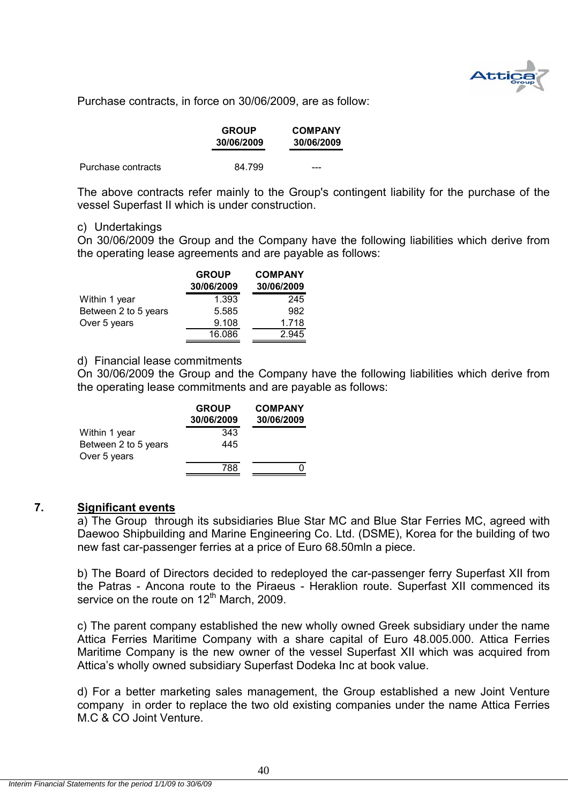

Purchase contracts, in force on 30/06/2009, are as follow:

|                    | <b>GROUP</b><br>30/06/2009 | <b>COMPANY</b><br>30/06/2009 |
|--------------------|----------------------------|------------------------------|
| Purchase contracts | 84.799                     | ---                          |

The above contracts refer mainly to the Group's contingent liability for the purchase of the vessel Superfast II which is under construction.

#### c) Undertakings

On 30/06/2009 the Group and the Company have the following liabilities which derive from the operating lease agreements and are payable as follows:

|                      | <b>GROUP</b> | <b>COMPANY</b> |
|----------------------|--------------|----------------|
|                      | 30/06/2009   | 30/06/2009     |
| Within 1 year        | 1.393        | 245            |
| Between 2 to 5 years | 5.585        | 982            |
| Over 5 years         | 9.108        | 1.718          |
|                      | 16.086       | 2.945          |

#### d) Financial lease commitments

On 30/06/2009 the Group and the Company have the following liabilities which derive from the operating lease commitments and are payable as follows:

|                                      | <b>GROUP</b><br>30/06/2009 | <b>COMPANY</b><br>30/06/2009 |
|--------------------------------------|----------------------------|------------------------------|
| Within 1 year                        | 343                        |                              |
| Between 2 to 5 years<br>Over 5 years | 445                        |                              |
|                                      | 788                        |                              |

#### **7. Significant events**

a) The Group through its subsidiaries Blue Star MC and Blue Star Ferries MC, agreed with Daewoo Shipbuilding and Marine Engineering Co. Ltd. (DSME), Korea for the building of two new fast car-passenger ferries at a price of Euro 68.50mln a piece.

b) The Board of Directors decided to redeployed the car-passenger ferry Superfast XII from the Patras - Ancona route to the Piraeus - Heraklion route. Superfast XII commenced its service on the route on  $12<sup>th</sup>$  March, 2009.

c) The parent company established the new wholly owned Greek subsidiary under the name Attica Ferries Maritime Company with a share capital of Euro 48.005.000. Attica Ferries Maritime Company is the new owner of the vessel Superfast XII which was acquired from Attica's wholly owned subsidiary Superfast Dodeka Inc at book value.

d) For a better marketing sales management, the Group established a new Joint Venture company in order to replace the two old existing companies under the name Attica Ferries M.C & CO Joint Venture.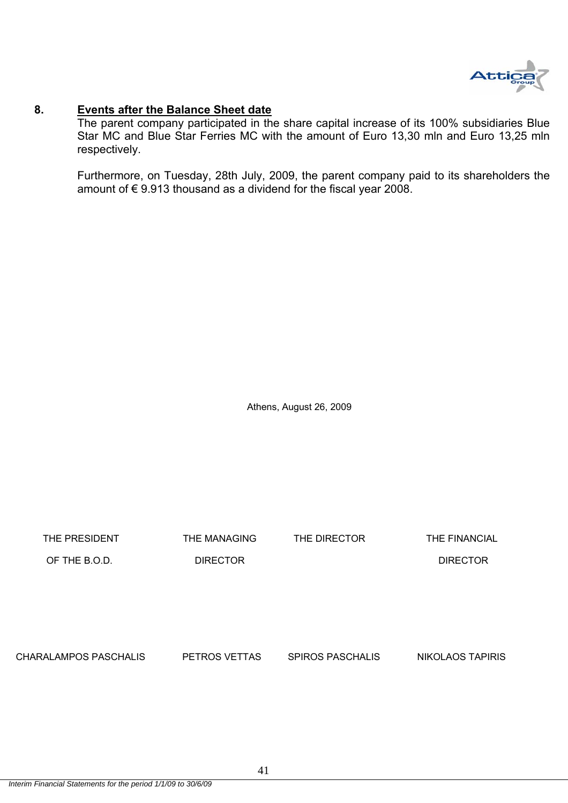

#### **8. Events after the Balance Sheet date**

The parent company participated in the share capital increase of its 100% subsidiaries Blue Star MC and Blue Star Ferries MC with the amount of Euro 13,30 mln and Euro 13,25 mln respectively.

Furthermore, on Tuesday, 28th July, 2009, the parent company paid to its shareholders the amount of € 9.913 thousand as a dividend for the fiscal year 2008.

Athens, August 26, 2009

THE PRESIDENT THE MANAGING THE DIRECTOR THE FINANCIAL OF THE B.O.D. DIRECTOR DIRECTOR CHARALAMPOS PASCHALIS PETROS VETTAS SPIROS PASCHALIS NIKOLAOS TAPIRIS